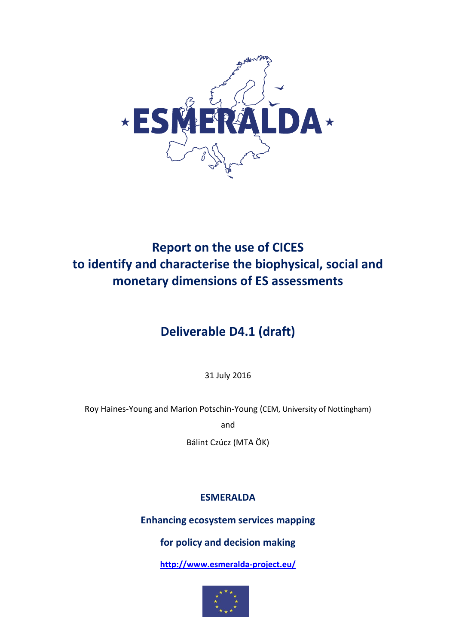

# **Report on the use of CICES to identify and characterise the biophysical, social and monetary dimensions of ES assessments**

# **Deliverable D4.1 (draft)**

31 July 2016

Roy Haines-Young and Marion Potschin-Young (CEM, University of Nottingham)

and

Bálint Czúcz (MTA ÖK)

## **ESMERALDA**

**Enhancing ecosystem services mapping** 

## **for policy and decision making**

**<http://www.esmeralda-project.eu/>**

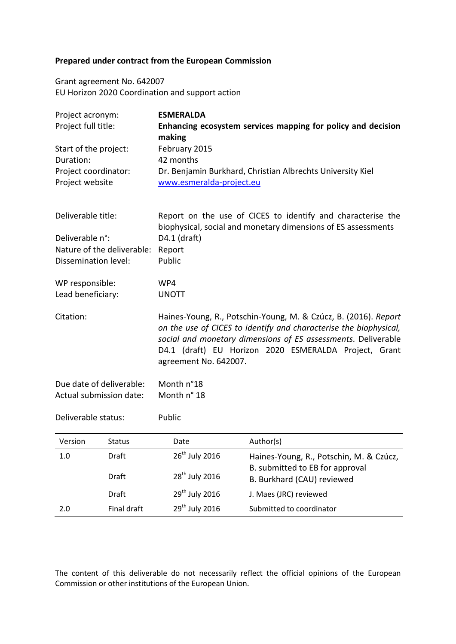## **Prepared under contract from the European Commission**

Grant agreement No. 642007 EU Horizon 2020 Coordination and support action

| Project acronym:<br>Project full title:<br>Start of the project: |                            | <b>ESMERALDA</b><br>Enhancing ecosystem services mapping for policy and decision<br>making<br>February 2015                                                                                                                                                                             |                                                                                        |  |  |  |  |
|------------------------------------------------------------------|----------------------------|-----------------------------------------------------------------------------------------------------------------------------------------------------------------------------------------------------------------------------------------------------------------------------------------|----------------------------------------------------------------------------------------|--|--|--|--|
| Duration:                                                        |                            | 42 months                                                                                                                                                                                                                                                                               |                                                                                        |  |  |  |  |
| Project coordinator:<br>Project website                          |                            |                                                                                                                                                                                                                                                                                         | Dr. Benjamin Burkhard, Christian Albrechts University Kiel<br>www.esmeralda-project.eu |  |  |  |  |
| Deliverable title:<br>Deliverable n°:                            |                            | Report on the use of CICES to identify and characterise the<br>biophysical, social and monetary dimensions of ES assessments<br>D4.1 (draft)                                                                                                                                            |                                                                                        |  |  |  |  |
|                                                                  | Nature of the deliverable: | Report                                                                                                                                                                                                                                                                                  |                                                                                        |  |  |  |  |
| Dissemination level:                                             |                            | Public                                                                                                                                                                                                                                                                                  |                                                                                        |  |  |  |  |
| WP responsible:                                                  |                            | WP4                                                                                                                                                                                                                                                                                     |                                                                                        |  |  |  |  |
| Lead beneficiary:                                                |                            | <b>UNOTT</b>                                                                                                                                                                                                                                                                            |                                                                                        |  |  |  |  |
| Citation:                                                        |                            | Haines-Young, R., Potschin-Young, M. & Czúcz, B. (2016). Report<br>on the use of CICES to identify and characterise the biophysical,<br>social and monetary dimensions of ES assessments. Deliverable<br>D4.1 (draft) EU Horizon 2020 ESMERALDA Project, Grant<br>agreement No. 642007. |                                                                                        |  |  |  |  |
|                                                                  | Due date of deliverable:   | Month n°18                                                                                                                                                                                                                                                                              |                                                                                        |  |  |  |  |
|                                                                  | Actual submission date:    | Month n° 18                                                                                                                                                                                                                                                                             |                                                                                        |  |  |  |  |
| Deliverable status:                                              |                            | Public                                                                                                                                                                                                                                                                                  |                                                                                        |  |  |  |  |
| Version                                                          | <b>Status</b>              | Date                                                                                                                                                                                                                                                                                    | Author(s)                                                                              |  |  |  |  |
| 1.0                                                              | Draft                      | 26 <sup>th</sup> July 2016                                                                                                                                                                                                                                                              | Haines-Young, R., Potschin, M. & Czúcz,                                                |  |  |  |  |
|                                                                  | <b>Draft</b>               | 28 <sup>th</sup> July 2016                                                                                                                                                                                                                                                              | B. submitted to EB for approval<br>B. Burkhard (CAU) reviewed                          |  |  |  |  |
|                                                                  | Draft                      | 29 <sup>th</sup> July 2016                                                                                                                                                                                                                                                              | J. Maes (JRC) reviewed                                                                 |  |  |  |  |

The content of this deliverable do not necessarily reflect the official opinions of the European Commission or other institutions of the European Union.

2.0 Final draft 29<sup>th</sup> July 2016 Submitted to coordinator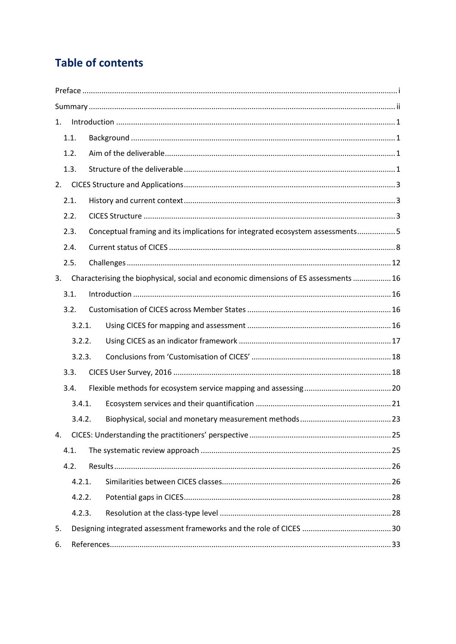## **Table of contents**

| 1. |        |  |                                                                                      |  |  |  |  |
|----|--------|--|--------------------------------------------------------------------------------------|--|--|--|--|
|    | 1.1.   |  |                                                                                      |  |  |  |  |
|    | 1.2.   |  |                                                                                      |  |  |  |  |
|    | 1.3.   |  |                                                                                      |  |  |  |  |
| 2. |        |  |                                                                                      |  |  |  |  |
|    | 2.1.   |  |                                                                                      |  |  |  |  |
|    | 2.2.   |  |                                                                                      |  |  |  |  |
|    | 2.3.   |  | Conceptual framing and its implications for integrated ecosystem assessments5        |  |  |  |  |
|    | 2.4.   |  |                                                                                      |  |  |  |  |
|    | 2.5.   |  |                                                                                      |  |  |  |  |
| 3. |        |  | Characterising the biophysical, social and economic dimensions of ES assessments  16 |  |  |  |  |
|    | 3.1.   |  |                                                                                      |  |  |  |  |
|    | 3.2.   |  |                                                                                      |  |  |  |  |
|    | 3.2.1. |  |                                                                                      |  |  |  |  |
|    | 3.2.2. |  |                                                                                      |  |  |  |  |
|    | 3.2.3. |  |                                                                                      |  |  |  |  |
|    | 3.3.   |  |                                                                                      |  |  |  |  |
|    | 3.4.   |  |                                                                                      |  |  |  |  |
|    | 3.4.1. |  |                                                                                      |  |  |  |  |
|    | 3.4.2. |  |                                                                                      |  |  |  |  |
| 4. |        |  |                                                                                      |  |  |  |  |
|    | 4.1.   |  |                                                                                      |  |  |  |  |
|    | 4.2.   |  |                                                                                      |  |  |  |  |
|    | 4.2.1. |  |                                                                                      |  |  |  |  |
|    | 4.2.2. |  |                                                                                      |  |  |  |  |
|    | 4.2.3. |  |                                                                                      |  |  |  |  |
| 5. |        |  |                                                                                      |  |  |  |  |
| 6. |        |  |                                                                                      |  |  |  |  |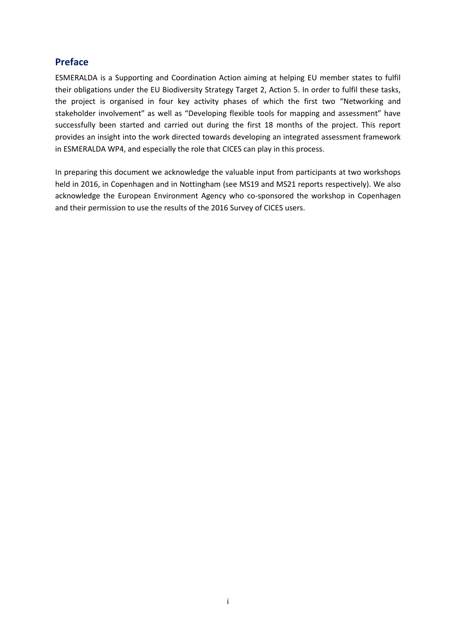## <span id="page-3-0"></span>**Preface**

ESMERALDA is a Supporting and Coordination Action aiming at helping EU member states to fulfil their obligations under the EU Biodiversity Strategy Target 2, Action 5. In order to fulfil these tasks, the project is organised in four key activity phases of which the first two "Networking and stakeholder involvement" as well as "Developing flexible tools for mapping and assessment" have successfully been started and carried out during the first 18 months of the project. This report provides an insight into the work directed towards developing an integrated assessment framework in ESMERALDA WP4, and especially the role that CICES can play in this process.

In preparing this document we acknowledge the valuable input from participants at two workshops held in 2016, in Copenhagen and in Nottingham (see MS19 and MS21 reports respectively). We also acknowledge the European Environment Agency who co-sponsored the workshop in Copenhagen and their permission to use the results of the 2016 Survey of CICES users.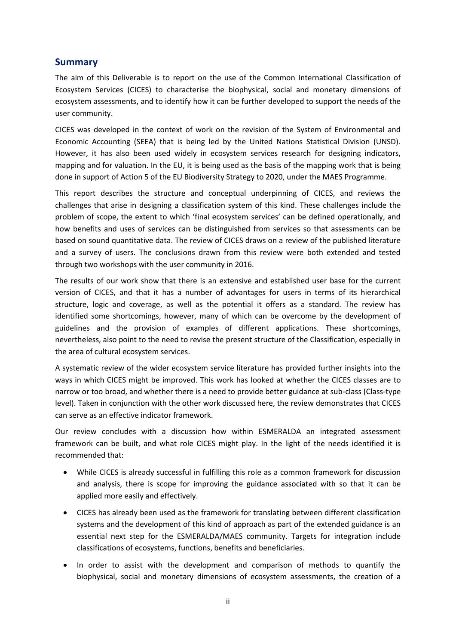### <span id="page-4-0"></span>**Summary**

The aim of this Deliverable is to report on the use of the Common International Classification of Ecosystem Services (CICES) to characterise the biophysical, social and monetary dimensions of ecosystem assessments, and to identify how it can be further developed to support the needs of the user community.

CICES was developed in the context of work on the revision of the System of Environmental and Economic Accounting (SEEA) that is being led by the United Nations Statistical Division (UNSD). However, it has also been used widely in ecosystem services research for designing indicators, mapping and for valuation. In the EU, it is being used as the basis of the mapping work that is being done in support of Action 5 of the EU Biodiversity Strategy to 2020, under the MAES Programme.

This report describes the structure and conceptual underpinning of CICES, and reviews the challenges that arise in designing a classification system of this kind. These challenges include the problem of scope, the extent to which 'final ecosystem services' can be defined operationally, and how benefits and uses of services can be distinguished from services so that assessments can be based on sound quantitative data. The review of CICES draws on a review of the published literature and a survey of users. The conclusions drawn from this review were both extended and tested through two workshops with the user community in 2016.

The results of our work show that there is an extensive and established user base for the current version of CICES, and that it has a number of advantages for users in terms of its hierarchical structure, logic and coverage, as well as the potential it offers as a standard. The review has identified some shortcomings, however, many of which can be overcome by the development of guidelines and the provision of examples of different applications. These shortcomings, nevertheless, also point to the need to revise the present structure of the Classification, especially in the area of cultural ecosystem services.

A systematic review of the wider ecosystem service literature has provided further insights into the ways in which CICES might be improved. This work has looked at whether the CICES classes are to narrow or too broad, and whether there is a need to provide better guidance at sub-class (Class-type level). Taken in conjunction with the other work discussed here, the review demonstrates that CICES can serve as an effective indicator framework.

Our review concludes with a discussion how within ESMERALDA an integrated assessment framework can be built, and what role CICES might play. In the light of the needs identified it is recommended that:

- While CICES is already successful in fulfilling this role as a common framework for discussion and analysis, there is scope for improving the guidance associated with so that it can be applied more easily and effectively.
- CICES has already been used as the framework for translating between different classification systems and the development of this kind of approach as part of the extended guidance is an essential next step for the ESMERALDA/MAES community. Targets for integration include classifications of ecosystems, functions, benefits and beneficiaries.
- In order to assist with the development and comparison of methods to quantify the biophysical, social and monetary dimensions of ecosystem assessments, the creation of a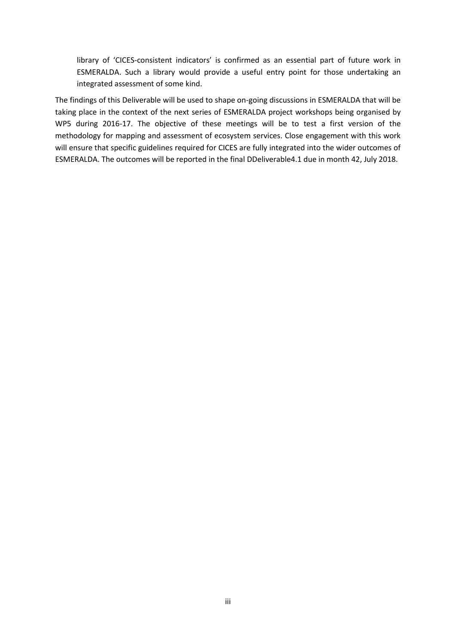library of 'CICES-consistent indicators' is confirmed as an essential part of future work in ESMERALDA. Such a library would provide a useful entry point for those undertaking an integrated assessment of some kind.

The findings of this Deliverable will be used to shape on-going discussions in ESMERALDA that will be taking place in the context of the next series of ESMERALDA project workshops being organised by WP5 during 2016-17. The objective of these meetings will be to test a first version of the methodology for mapping and assessment of ecosystem services. Close engagement with this work will ensure that specific guidelines required for CICES are fully integrated into the wider outcomes of ESMERALDA. The outcomes will be reported in the final DDeliverable4.1 due in month 42, July 2018.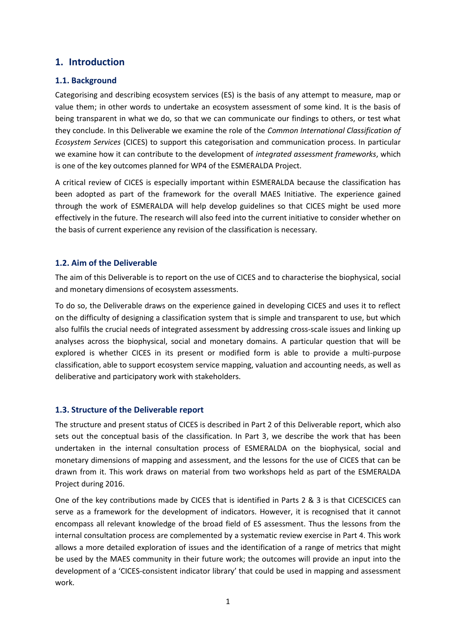## <span id="page-6-0"></span>**1. Introduction**

#### <span id="page-6-1"></span>**1.1. Background**

Categorising and describing ecosystem services (ES) is the basis of any attempt to measure, map or value them; in other words to undertake an ecosystem assessment of some kind. It is the basis of being transparent in what we do, so that we can communicate our findings to others, or test what they conclude. In this Deliverable we examine the role of the *Common International Classification of Ecosystem Services* (CICES) to support this categorisation and communication process. In particular we examine how it can contribute to the development of *integrated assessment frameworks*, which is one of the key outcomes planned for WP4 of the ESMERALDA Project.

A critical review of CICES is especially important within ESMERALDA because the classification has been adopted as part of the framework for the overall MAES Initiative. The experience gained through the work of ESMERALDA will help develop guidelines so that CICES might be used more effectively in the future. The research will also feed into the current initiative to consider whether on the basis of current experience any revision of the classification is necessary.

#### <span id="page-6-2"></span>**1.2. Aim of the Deliverable**

The aim of this Deliverable is to report on the use of CICES and to characterise the biophysical, social and monetary dimensions of ecosystem assessments.

To do so, the Deliverable draws on the experience gained in developing CICES and uses it to reflect on the difficulty of designing a classification system that is simple and transparent to use, but which also fulfils the crucial needs of integrated assessment by addressing cross-scale issues and linking up analyses across the biophysical, social and monetary domains. A particular question that will be explored is whether CICES in its present or modified form is able to provide a multi-purpose classification, able to support ecosystem service mapping, valuation and accounting needs, as well as deliberative and participatory work with stakeholders.

#### <span id="page-6-3"></span>**1.3. Structure of the Deliverable report**

The structure and present status of CICES is described in Part 2 of this Deliverable report, which also sets out the conceptual basis of the classification. In Part 3, we describe the work that has been undertaken in the internal consultation process of ESMERALDA on the biophysical, social and monetary dimensions of mapping and assessment, and the lessons for the use of CICES that can be drawn from it. This work draws on material from two workshops held as part of the ESMERALDA Project during 2016.

One of the key contributions made by CICES that is identified in Parts 2 & 3 is that CICESCICES can serve as a framework for the development of indicators. However, it is recognised that it cannot encompass all relevant knowledge of the broad field of ES assessment. Thus the lessons from the internal consultation process are complemented by a systematic review exercise in Part 4. This work allows a more detailed exploration of issues and the identification of a range of metrics that might be used by the MAES community in their future work; the outcomes will provide an input into the development of a 'CICES-consistent indicator library' that could be used in mapping and assessment work.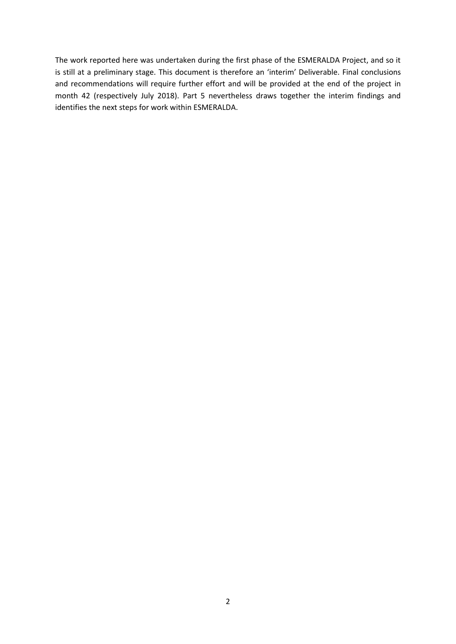The work reported here was undertaken during the first phase of the ESMERALDA Project, and so it is still at a preliminary stage. This document is therefore an 'interim' Deliverable. Final conclusions and recommendations will require further effort and will be provided at the end of the project in month 42 (respectively July 2018). Part 5 nevertheless draws together the interim findings and identifies the next steps for work within ESMERALDA.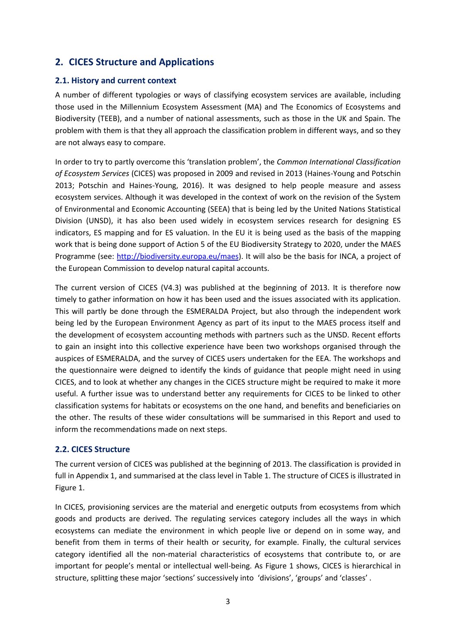## <span id="page-8-0"></span>**2. CICES Structure and Applications**

#### <span id="page-8-1"></span>**2.1. History and current context**

A number of different typologies or ways of classifying ecosystem services are available, including those used in the Millennium Ecosystem Assessment (MA) and The Economics of Ecosystems and Biodiversity (TEEB), and a number of national assessments, such as those in the UK and Spain. The problem with them is that they all approach the classification problem in different ways, and so they are not always easy to compare.

In order to try to partly overcome this 'translation problem', the *Common International Classification of Ecosystem Services* (CICES) was proposed in 2009 and revised in 2013 (Haines-Young and Potschin 2013; Potschin and Haines-Young, 2016). It was designed to help people measure and assess ecosystem services. Although it was developed in the context of work on the revision of the System of Environmental and Economic Accounting (SEEA) that is being led by the United Nations Statistical Division (UNSD), it has also been used widely in ecosystem services research for designing ES indicators, ES mapping and for ES valuation. In the EU it is being used as the basis of the mapping work that is being done support of Action 5 of the EU Biodiversity Strategy to 2020, under the MAES Programme (see: [http://biodiversity.europa.eu/maes\)](http://biodiversity.europa.eu/maes). It will also be the basis for INCA, a project of the European Commission to develop natural capital accounts.

The current version of CICES (V4.3) was published at the beginning of 2013. It is therefore now timely to gather information on how it has been used and the issues associated with its application. This will partly be done through the ESMERALDA Project, but also through the independent work being led by the European Environment Agency as part of its input to the MAES process itself and the development of ecosystem accounting methods with partners such as the UNSD. Recent efforts to gain an insight into this collective experience have been two workshops organised through the auspices of ESMERALDA, and the survey of CICES users undertaken for the EEA. The workshops and the questionnaire were deigned to identify the kinds of guidance that people might need in using CICES, and to look at whether any changes in the CICES structure might be required to make it more useful. A further issue was to understand better any requirements for CICES to be linked to other classification systems for habitats or ecosystems on the one hand, and benefits and beneficiaries on the other. The results of these wider consultations will be summarised in this Report and used to inform the recommendations made on next steps.

#### <span id="page-8-2"></span>**2.2. CICES Structure**

The current version of CICES was published at the beginning of 2013. The classification is provided in full in Appendix 1, and summarised at the class level in Table 1. The structure of CICES is illustrated in Figure 1.

In CICES, provisioning services are the material and energetic outputs from ecosystems from which goods and products are derived. The regulating services category includes all the ways in which ecosystems can mediate the environment in which people live or depend on in some way, and benefit from them in terms of their health or security, for example. Finally, the cultural services category identified all the non-material characteristics of ecosystems that contribute to, or are important for people's mental or intellectual well-being. As Figure 1 shows, CICES is hierarchical in structure, splitting these major 'sections' successively into 'divisions', 'groups' and 'classes' .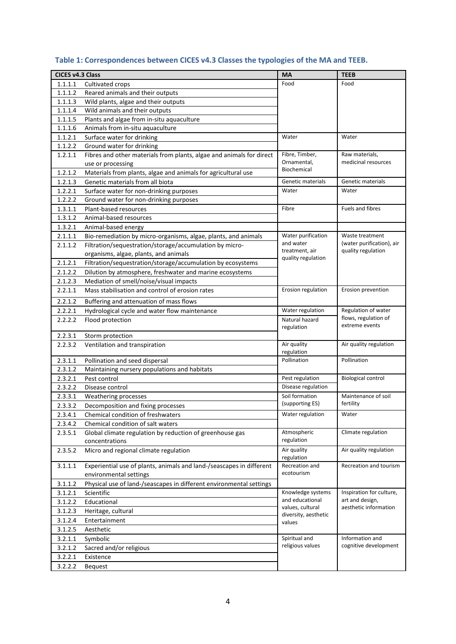| CICES v4.3 Class |                                                                                           | <b>MA</b>                            | <b>TEEB</b>                              |
|------------------|-------------------------------------------------------------------------------------------|--------------------------------------|------------------------------------------|
| 1.1.1.1          | Cultivated crops                                                                          | Food                                 | Food                                     |
| 1.1.1.2          | Reared animals and their outputs                                                          |                                      |                                          |
| 1.1.1.3          | Wild plants, algae and their outputs                                                      |                                      |                                          |
| 1.1.1.4          | Wild animals and their outputs                                                            |                                      |                                          |
| 1.1.1.5          | Plants and algae from in-situ aquaculture                                                 |                                      |                                          |
| 1.1.1.6          | Animals from in-situ aquaculture                                                          |                                      |                                          |
| 1.1.2.1          | Surface water for drinking                                                                | Water                                | Water                                    |
| 1.1.2.2          | Ground water for drinking                                                                 |                                      |                                          |
| 1.2.1.1          | Fibres and other materials from plants, algae and animals for direct<br>use or processing | Fibre, Timber,<br>Ornamental,        | Raw materials,<br>medicinal resources    |
| 1.2.1.2          | Materials from plants, algae and animals for agricultural use                             | Biochemical                          |                                          |
| 1.2.1.3          | Genetic materials from all biota                                                          | Genetic materials                    | Genetic materials                        |
| 1.2.2.1          | Surface water for non-drinking purposes                                                   | Water                                | Water                                    |
| 1.2.2.2          | Ground water for non-drinking purposes                                                    |                                      |                                          |
| 1.3.1.1          | Plant-based resources                                                                     | Fibre                                | Fuels and fibres                         |
| 1.3.1.2          | Animal-based resources                                                                    |                                      |                                          |
| 1.3.2.1          | Animal-based energy                                                                       |                                      |                                          |
| 2.1.1.1          | Bio-remediation by micro-organisms, algae, plants, and animals                            | Water purification                   | Waste treatment                          |
| 2.1.1.2          | Filtration/sequestration/storage/accumulation by micro-                                   | and water                            | (water purification), air                |
|                  | organisms, algae, plants, and animals                                                     | treatment, air<br>quality regulation | quality regulation                       |
| 2.1.2.1          | Filtration/sequestration/storage/accumulation by ecosystems                               |                                      |                                          |
| 2.1.2.2          | Dilution by atmosphere, freshwater and marine ecosystems                                  |                                      |                                          |
| 2.1.2.3          | Mediation of smell/noise/visual impacts                                                   |                                      |                                          |
| 2.2.1.1          | Mass stabilisation and control of erosion rates                                           | Erosion regulation                   | Erosion prevention                       |
| 2.2.1.2          | Buffering and attenuation of mass flows                                                   |                                      |                                          |
| 2.2.2.1          | Hydrological cycle and water flow maintenance                                             | Water regulation                     | Regulation of water                      |
| 2.2.2.2          | Flood protection                                                                          | Natural hazard                       | flows, regulation of                     |
|                  |                                                                                           | regulation                           | extreme events                           |
| 2.2.3.1          | Storm protection                                                                          |                                      |                                          |
| 2.2.3.2          | Ventilation and transpiration                                                             | Air quality                          | Air quality regulation                   |
|                  |                                                                                           | regulation                           |                                          |
| 2.3.1.1          | Pollination and seed dispersal                                                            | Pollination                          | Pollination                              |
| 2.3.1.2          | Maintaining nursery populations and habitats                                              |                                      |                                          |
| 2.3.2.1          | Pest control                                                                              | Pest regulation                      | <b>Biological control</b>                |
| 2.3.2.2          | Disease control                                                                           | Disease regulation                   |                                          |
| 2.3.3.1          | Weathering processes                                                                      | Soil formation                       | Maintenance of soil                      |
| 2.3.3.2          | Decomposition and fixing processes                                                        | (supporting ES)                      | fertility                                |
| 2.3.4.1          | Chemical condition of freshwaters                                                         | Water regulation                     | Water                                    |
| 2.3.4.2          | Chemical condition of salt waters                                                         |                                      |                                          |
| 2.3.5.1          | Global climate regulation by reduction of greenhouse gas                                  | Atmospheric                          | Climate regulation                       |
|                  | concentrations                                                                            | regulation                           |                                          |
| 2.3.5.2          | Micro and regional climate regulation                                                     | Air quality<br>regulation            | Air quality regulation                   |
| 3.1.1.1          | Experiential use of plants, animals and land-/seascapes in different                      | Recreation and                       | Recreation and tourism                   |
|                  | environmental settings                                                                    | ecotourism                           |                                          |
| 3.1.1.2          | Physical use of land-/seascapes in different environmental settings                       |                                      |                                          |
| 3.1.2.1          | Scientific                                                                                | Knowledge systems                    | Inspiration for culture,                 |
| 3.1.2.2          | Educational                                                                               | and educational<br>values, cultural  | art and design,<br>aesthetic information |
| 3.1.2.3          | Heritage, cultural                                                                        | diversity, aesthetic                 |                                          |
| 3.1.2.4          | Entertainment                                                                             | values                               |                                          |
| 3.1.2.5          | Aesthetic                                                                                 |                                      |                                          |
| 3.2.1.1          | Symbolic                                                                                  | Spiritual and                        | Information and                          |
| 3.2.1.2          | Sacred and/or religious                                                                   | religious values                     | cognitive development                    |
| 3.2.2.1          | Existence                                                                                 |                                      |                                          |
| 3.2.2.2          | Bequest                                                                                   |                                      |                                          |

## **Table 1: Correspondences between CICES v4.3 Classes the typologies of the MA and TEEB.**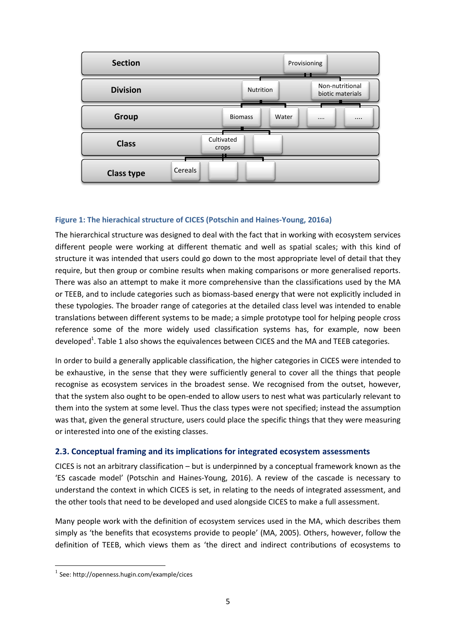

#### **Figure 1: The hierachical structure of CICES (Potschin and Haines-Young, 2016a)**

The hierarchical structure was designed to deal with the fact that in working with ecosystem services different people were working at different thematic and well as spatial scales; with this kind of structure it was intended that users could go down to the most appropriate level of detail that they require, but then group or combine results when making comparisons or more generalised reports. There was also an attempt to make it more comprehensive than the classifications used by the MA or TEEB, and to include categories such as biomass-based energy that were not explicitly included in these typologies. The broader range of categories at the detailed class level was intended to enable translations between different systems to be made; a simple prototype tool for helping people cross reference some of the more widely used classification systems has, for example, now been developed<sup>1</sup>. Table 1 also shows the equivalences between CICES and the MA and TEEB categories.

In order to build a generally applicable classification, the higher categories in CICES were intended to be exhaustive, in the sense that they were sufficiently general to cover all the things that people recognise as ecosystem services in the broadest sense. We recognised from the outset, however, that the system also ought to be open-ended to allow users to nest what was particularly relevant to them into the system at some level. Thus the class types were not specified; instead the assumption was that, given the general structure, users could place the specific things that they were measuring or interested into one of the existing classes.

#### <span id="page-10-0"></span>**2.3. Conceptual framing and its implications for integrated ecosystem assessments**

CICES is not an arbitrary classification – but is underpinned by a conceptual framework known as the 'ES cascade model' (Potschin and Haines-Young, 2016). A review of the cascade is necessary to understand the context in which CICES is set, in relating to the needs of integrated assessment, and the other tools that need to be developed and used alongside CICES to make a full assessment.

Many people work with the definition of ecosystem services used in the MA, which describes them simply as 'the benefits that ecosystems provide to people' (MA, 2005). Others, however, follow the definition of TEEB, which views them as 'the direct and indirect contributions of ecosystems to

1

<sup>1</sup> See: http://openness.hugin.com/example/cices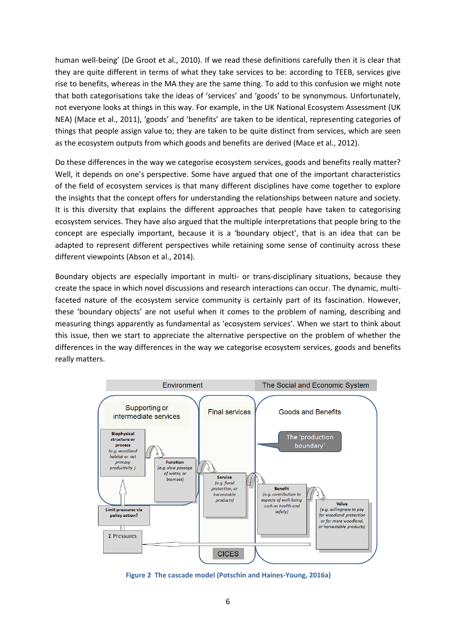human well-being' (De Groot et al., 2010). If we read these definitions carefully then it is clear that they are quite different in terms of what they take services to be: according to TEEB, services give rise to benefits, whereas in the MA they are the same thing. To add to this confusion we might note that both categorisations take the ideas of 'services' and 'goods' to be synonymous. Unfortunately, not everyone looks at things in this way. For example, in the UK National Ecosystem Assessment (UK NEA) (Mace et al., 2011), 'goods' and 'benefits' are taken to be identical, representing categories of things that people assign value to; they are taken to be quite distinct from services, which are seen as the ecosystem outputs from which goods and benefits are derived (Mace et al., 2012).

Do these differences in the way we categorise ecosystem services, goods and benefits really matter? Well, it depends on one's perspective. Some have argued that one of the important characteristics of the field of ecosystem services is that many different disciplines have come together to explore the insights that the concept offers for understanding the relationships between nature and society. It is this diversity that explains the different approaches that people have taken to categorising ecosystem services. They have also argued that the multiple interpretations that people bring to the concept are especially important, because it is a 'boundary object', that is an idea that can be adapted to represent different perspectives while retaining some sense of continuity across these different viewpoints (Abson et al., 2014).

Boundary objects are especially important in multi- or trans-disciplinary situations, because they create the space in which novel discussions and research interactions can occur. The dynamic, multifaceted nature of the ecosystem service community is certainly part of its fascination. However, these 'boundary objects' are not useful when it comes to the problem of naming, describing and measuring things apparently as fundamental as 'ecosystem services'. When we start to think about this issue, then we start to appreciate the alternative perspective on the problem of whether the differences in the way differences in the way we categorise ecosystem services, goods and benefits really matters.



**Figure 2 The cascade model (Potschin and Haines-Young, 2016a)**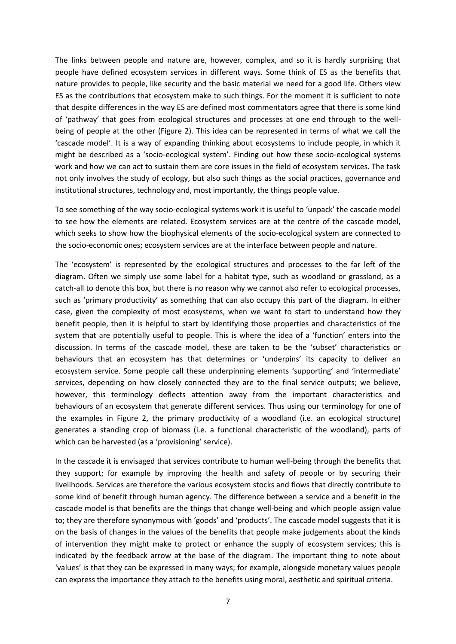The links between people and nature are, however, complex, and so it is hardly surprising that people have defined ecosystem services in different ways. Some think of ES as the benefits that nature provides to people, like security and the basic material we need for a good life. Others view ES as the contributions that ecosystem make to such things. For the moment it is sufficient to note that despite differences in the way ES are defined most commentators agree that there is some kind of 'pathway' that goes from ecological structures and processes at one end through to the wellbeing of people at the other (Figure 2). This idea can be represented in terms of what we call the 'cascade model'. It is a way of expanding thinking about ecosystems to include people, in which it might be described as a 'socio-ecological system'. Finding out how these socio-ecological systems work and how we can act to sustain them are core issues in the field of ecosystem services. The task not only involves the study of ecology, but also such things as the social practices, governance and institutional structures, technology and, most importantly, the things people value.

To see something of the way socio-ecological systems work it is useful to 'unpack' the cascade model to see how the elements are related. Ecosystem services are at the centre of the cascade model, which seeks to show how the biophysical elements of the socio-ecological system are connected to the socio-economic ones; ecosystem services are at the interface between people and nature.

The 'ecosystem' is represented by the ecological structures and processes to the far left of the diagram. Often we simply use some label for a habitat type, such as woodland or grassland, as a catch-all to denote this box, but there is no reason why we cannot also refer to ecological processes, such as 'primary productivity' as something that can also occupy this part of the diagram. In either case, given the complexity of most ecosystems, when we want to start to understand how they benefit people, then it is helpful to start by identifying those properties and characteristics of the system that are potentially useful to people. This is where the idea of a 'function' enters into the discussion. In terms of the cascade model, these are taken to be the 'subset' characteristics or behaviours that an ecosystem has that determines or 'underpins' its capacity to deliver an ecosystem service. Some people call these underpinning elements 'supporting' and 'intermediate' services, depending on how closely connected they are to the final service outputs; we believe, however, this terminology deflects attention away from the important characteristics and behaviours of an ecosystem that generate different services. Thus using our terminology for one of the examples in Figure 2, the primary productivity of a woodland (i.e. an ecological structure) generates a standing crop of biomass (i.e. a functional characteristic of the woodland), parts of which can be harvested (as a 'provisioning' service).

In the cascade it is envisaged that services contribute to human well-being through the benefits that they support; for example by improving the health and safety of people or by securing their livelihoods. Services are therefore the various ecosystem stocks and flows that directly contribute to some kind of benefit through human agency. The difference between a service and a benefit in the cascade model is that benefits are the things that change well-being and which people assign value to; they are therefore synonymous with 'goods' and 'products'. The cascade model suggests that it is on the basis of changes in the values of the benefits that people make judgements about the kinds of intervention they might make to protect or enhance the supply of ecosystem services; this is indicated by the feedback arrow at the base of the diagram. The important thing to note about 'values' is that they can be expressed in many ways; for example, alongside monetary values people can express the importance they attach to the benefits using moral, aesthetic and spiritual criteria.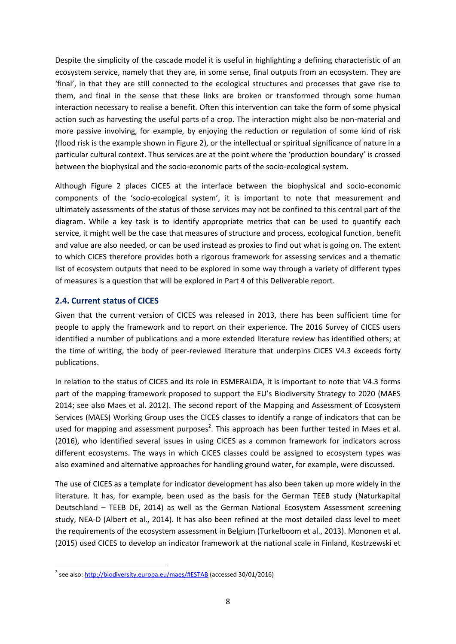Despite the simplicity of the cascade model it is useful in highlighting a defining characteristic of an ecosystem service, namely that they are, in some sense, final outputs from an ecosystem. They are 'final', in that they are still connected to the ecological structures and processes that gave rise to them, and final in the sense that these links are broken or transformed through some human interaction necessary to realise a benefit. Often this intervention can take the form of some physical action such as harvesting the useful parts of a crop. The interaction might also be non-material and more passive involving, for example, by enjoying the reduction or regulation of some kind of risk (flood risk is the example shown in Figure 2), or the intellectual or spiritual significance of nature in a particular cultural context. Thus services are at the point where the 'production boundary' is crossed between the biophysical and the socio-economic parts of the socio-ecological system.

Although Figure 2 places CICES at the interface between the biophysical and socio-economic components of the 'socio-ecological system', it is important to note that measurement and ultimately assessments of the status of those services may not be confined to this central part of the diagram. While a key task is to identify appropriate metrics that can be used to quantify each service, it might well be the case that measures of structure and process, ecological function, benefit and value are also needed, or can be used instead as proxies to find out what is going on. The extent to which CICES therefore provides both a rigorous framework for assessing services and a thematic list of ecosystem outputs that need to be explored in some way through a variety of different types of measures is a question that will be explored in Part 4 of this Deliverable report.

#### <span id="page-13-0"></span>**2.4. Current status of CICES**

**.** 

Given that the current version of CICES was released in 2013, there has been sufficient time for people to apply the framework and to report on their experience. The 2016 Survey of CICES users identified a number of publications and a more extended literature review has identified others; at the time of writing, the body of peer-reviewed literature that underpins CICES V4.3 exceeds forty publications.

In relation to the status of CICES and its role in ESMERALDA, it is important to note that V4.3 forms part of the mapping framework proposed to support the EU's Biodiversity Strategy to 2020 (MAES 2014; see also Maes et al. 2012). The second report of the Mapping and Assessment of Ecosystem Services (MAES) Working Group uses the CICES classes to identify a range of indicators that can be used for mapping and assessment purposes<sup>2</sup>. This approach has been further tested in Maes et al. (2016), who identified several issues in using CICES as a common framework for indicators across different ecosystems. The ways in which CICES classes could be assigned to ecosystem types was also examined and alternative approaches for handling ground water, for example, were discussed.

The use of CICES as a template for indicator development has also been taken up more widely in the literature. It has, for example, been used as the basis for the German TEEB study (Naturkapital Deutschland – TEEB DE, 2014) as well as the German National Ecosystem Assessment screening study, NEA-D (Albert et al., 2014). It has also been refined at the most detailed class level to meet the requirements of the ecosystem assessment in Belgium (Turkelboom et al., 2013). Mononen et al. (2015) used CICES to develop an indicator framework at the national scale in Finland, Kostrzewski et

<sup>&</sup>lt;sup>2</sup> see also[: http://biodiversity.europa.eu/maes/#ESTAB](http://biodiversity.europa.eu/maes/#ESTAB) (accessed 30/01/2016)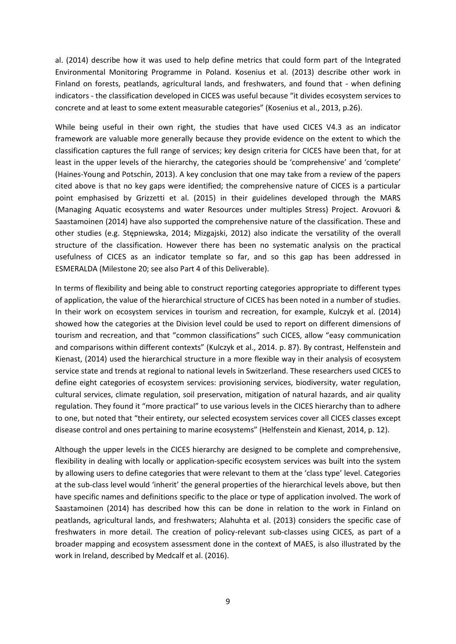al. (2014) describe how it was used to help define metrics that could form part of the Integrated Environmental Monitoring Programme in Poland. Kosenius et al. (2013) describe other work in Finland on forests, peatlands, agricultural lands, and freshwaters, and found that - when defining indicators - the classification developed in CICES was useful because "it divides ecosystem services to concrete and at least to some extent measurable categories" (Kosenius et al., 2013, p.26).

While being useful in their own right, the studies that have used CICES V4.3 as an indicator framework are valuable more generally because they provide evidence on the extent to which the classification captures the full range of services; key design criteria for CICES have been that, for at least in the upper levels of the hierarchy, the categories should be 'comprehensive' and 'complete' (Haines-Young and Potschin, 2013). A key conclusion that one may take from a review of the papers cited above is that no key gaps were identified; the comprehensive nature of CICES is a particular point emphasised by Grizzetti et al. (2015) in their guidelines developed through the MARS (Managing Aquatic ecosystems and water Resources under multiples Stress) Project. Arovuori & Saastamoinen (2014) have also supported the comprehensive nature of the classification. These and other studies (e.g. Stępniewska, 2014; Mizgajski, 2012) also indicate the versatility of the overall structure of the classification. However there has been no systematic analysis on the practical usefulness of CICES as an indicator template so far, and so this gap has been addressed in ESMERALDA (Milestone 20; see also Part 4 of this Deliverable).

In terms of flexibility and being able to construct reporting categories appropriate to different types of application, the value of the hierarchical structure of CICES has been noted in a number of studies. In their work on ecosystem services in tourism and recreation, for example, Kulczyk et al. (2014) showed how the categories at the Division level could be used to report on different dimensions of tourism and recreation, and that "common classifications" such CICES, allow "easy communication and comparisons within different contexts" (Kulczyk et al., 2014. p. 87). By contrast, Helfenstein and Kienast, (2014) used the hierarchical structure in a more flexible way in their analysis of ecosystem service state and trends at regional to national levels in Switzerland. These researchers used CICES to define eight categories of ecosystem services: provisioning services, biodiversity, water regulation, cultural services, climate regulation, soil preservation, mitigation of natural hazards, and air quality regulation. They found it "more practical" to use various levels in the CICES hierarchy than to adhere to one, but noted that "their entirety, our selected ecosystem services cover all CICES classes except disease control and ones pertaining to marine ecosystems" (Helfenstein and Kienast, 2014, p. 12).

Although the upper levels in the CICES hierarchy are designed to be complete and comprehensive, flexibility in dealing with locally or application-specific ecosystem services was built into the system by allowing users to define categories that were relevant to them at the 'class type' level. Categories at the sub-class level would 'inherit' the general properties of the hierarchical levels above, but then have specific names and definitions specific to the place or type of application involved. The work of Saastamoinen (2014) has described how this can be done in relation to the work in Finland on peatlands, agricultural lands, and freshwaters; Alahuhta et al. (2013) considers the specific case of freshwaters in more detail. The creation of policy-relevant sub-classes using CICES, as part of a broader mapping and ecosystem assessment done in the context of MAES, is also illustrated by the work in Ireland, described by Medcalf et al. (2016).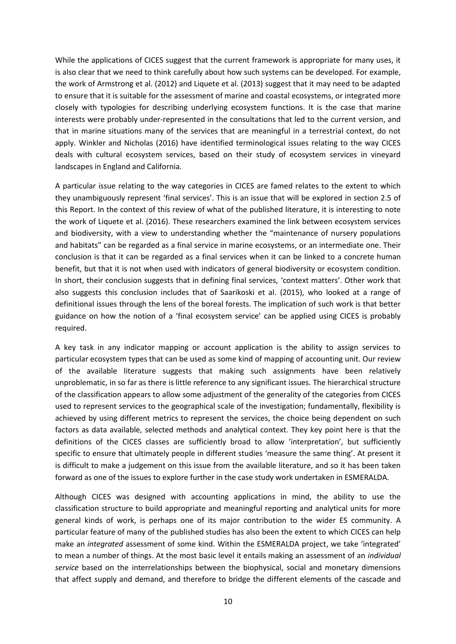While the applications of CICES suggest that the current framework is appropriate for many uses, it is also clear that we need to think carefully about how such systems can be developed. For example, the work of Armstrong et al. (2012) and Liquete et al. (2013) suggest that it may need to be adapted to ensure that it is suitable for the assessment of marine and coastal ecosystems, or integrated more closely with typologies for describing underlying ecosystem functions. It is the case that marine interests were probably under-represented in the consultations that led to the current version, and that in marine situations many of the services that are meaningful in a terrestrial context, do not apply. Winkler and Nicholas (2016) have identified terminological issues relating to the way CICES deals with cultural ecosystem services, based on their study of ecosystem services in vineyard landscapes in England and California.

A particular issue relating to the way categories in CICES are famed relates to the extent to which they unambiguously represent 'final services'. This is an issue that will be explored in section 2.5 of this Report. In the context of this review of what of the published literature, it is interesting to note the work of Liquete et al. (2016). These researchers examined the link between ecosystem services and biodiversity, with a view to understanding whether the "maintenance of nursery populations and habitats" can be regarded as a final service in marine ecosystems, or an intermediate one. Their conclusion is that it can be regarded as a final services when it can be linked to a concrete human benefit, but that it is not when used with indicators of general biodiversity or ecosystem condition. In short, their conclusion suggests that in defining final services, 'context matters'. Other work that also suggests this conclusion includes that of Saarikoski et al. (2015), who looked at a range of definitional issues through the lens of the boreal forests. The implication of such work is that better guidance on how the notion of a 'final ecosystem service' can be applied using CICES is probably required.

A key task in any indicator mapping or account application is the ability to assign services to particular ecosystem types that can be used as some kind of mapping of accounting unit. Our review of the available literature suggests that making such assignments have been relatively unproblematic, in so far as there is little reference to any significant issues. The hierarchical structure of the classification appears to allow some adjustment of the generality of the categories from CICES used to represent services to the geographical scale of the investigation; fundamentally, flexibility is achieved by using different metrics to represent the services, the choice being dependent on such factors as data available, selected methods and analytical context. They key point here is that the definitions of the CICES classes are sufficiently broad to allow 'interpretation', but sufficiently specific to ensure that ultimately people in different studies 'measure the same thing'. At present it is difficult to make a judgement on this issue from the available literature, and so it has been taken forward as one of the issues to explore further in the case study work undertaken in ESMERALDA.

Although CICES was designed with accounting applications in mind, the ability to use the classification structure to build appropriate and meaningful reporting and analytical units for more general kinds of work, is perhaps one of its major contribution to the wider ES community. A particular feature of many of the published studies has also been the extent to which CICES can help make an *integrated* assessment of some kind. Within the ESMERALDA project, we take 'integrated' to mean a number of things. At the most basic level it entails making an assessment of an *individual service* based on the interrelationships between the biophysical, social and monetary dimensions that affect supply and demand, and therefore to bridge the different elements of the cascade and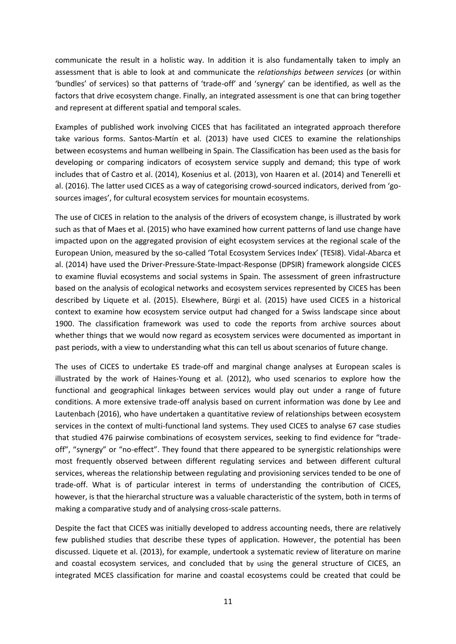communicate the result in a holistic way. In addition it is also fundamentally taken to imply an assessment that is able to look at and communicate the *relationships between services* (or within 'bundles' of services) so that patterns of 'trade-off' and 'synergy' can be identified, as well as the factors that drive ecosystem change. Finally, an integrated assessment is one that can bring together and represent at different spatial and temporal scales.

Examples of published work involving CICES that has facilitated an integrated approach therefore take various forms. Santos-Martín et al. (2013) have used CICES to examine the relationships between ecosystems and human wellbeing in Spain. The Classification has been used as the basis for developing or comparing indicators of ecosystem service supply and demand; this type of work includes that of Castro et al. (2014), Kosenius et al. (2013), von Haaren et al. (2014) and Tenerelli et al. (2016). The latter used CICES as a way of categorising crowd-sourced indicators, derived from 'gosources images', for cultural ecosystem services for mountain ecosystems.

The use of CICES in relation to the analysis of the drivers of ecosystem change, is illustrated by work such as that of Maes et al. (2015) who have examined how current patterns of land use change have impacted upon on the aggregated provision of eight ecosystem services at the regional scale of the European Union, measured by the so-called 'Total Ecosystem Services Index' (TESI8). Vidal-Abarca et al. (2014) have used the Driver-Pressure-State-Impact-Response (DPSIR) framework alongside CICES to examine fluvial ecosystems and social systems in Spain. The assessment of green infrastructure based on the analysis of ecological networks and ecosystem services represented by CICES has been described by Liquete et al. (2015). Elsewhere, Bürgi et al. (2015) have used CICES in a historical context to examine how ecosystem service output had changed for a Swiss landscape since about 1900. The classification framework was used to code the reports from archive sources about whether things that we would now regard as ecosystem services were documented as important in past periods, with a view to understanding what this can tell us about scenarios of future change.

The uses of CICES to undertake ES trade-off and marginal change analyses at European scales is illustrated by the work of Haines-Young et al. (2012), who used scenarios to explore how the functional and geographical linkages between services would play out under a range of future conditions. A more extensive trade-off analysis based on current information was done by Lee and Lautenbach (2016), who have undertaken a quantitative review of relationships between ecosystem services in the context of multi-functional land systems. They used CICES to analyse 67 case studies that studied 476 pairwise combinations of ecosystem services, seeking to find evidence for "tradeoff", "synergy" or "no-effect". They found that there appeared to be synergistic relationships were most frequently observed between different regulating services and between different cultural services, whereas the relationship between regulating and provisioning services tended to be one of trade-off. What is of particular interest in terms of understanding the contribution of CICES, however, is that the hierarchal structure was a valuable characteristic of the system, both in terms of making a comparative study and of analysing cross-scale patterns.

Despite the fact that CICES was initially developed to address accounting needs, there are relatively few published studies that describe these types of application. However, the potential has been discussed. Liquete et al. (2013), for example, undertook a systematic review of literature on marine and coastal ecosystem services, and concluded that by using the general structure of CICES, an integrated MCES classification for marine and coastal ecosystems could be created that could be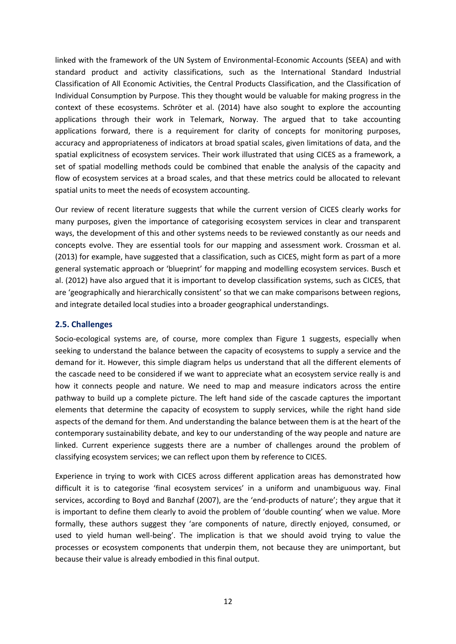linked with the framework of the UN System of Environmental-Economic Accounts (SEEA) and with standard product and activity classifications, such as the International Standard Industrial Classification of All Economic Activities, the Central Products Classification, and the Classification of Individual Consumption by Purpose. This they thought would be valuable for making progress in the context of these ecosystems. Schröter et al. (2014) have also sought to explore the accounting applications through their work in Telemark, Norway. The argued that to take accounting applications forward, there is a requirement for clarity of concepts for monitoring purposes, accuracy and appropriateness of indicators at broad spatial scales, given limitations of data, and the spatial explicitness of ecosystem services. Their work illustrated that using CICES as a framework, a set of spatial modelling methods could be combined that enable the analysis of the capacity and flow of ecosystem services at a broad scales, and that these metrics could be allocated to relevant spatial units to meet the needs of ecosystem accounting.

Our review of recent literature suggests that while the current version of CICES clearly works for many purposes, given the importance of categorising ecosystem services in clear and transparent ways, the development of this and other systems needs to be reviewed constantly as our needs and concepts evolve. They are essential tools for our mapping and assessment work. Crossman et al. (2013) for example, have suggested that a classification, such as CICES, might form as part of a more general systematic approach or 'blueprint' for mapping and modelling ecosystem services. Busch et al. (2012) have also argued that it is important to develop classification systems, such as CICES, that are 'geographically and hierarchically consistent' so that we can make comparisons between regions, and integrate detailed local studies into a broader geographical understandings.

#### <span id="page-17-0"></span>**2.5. Challenges**

Socio-ecological systems are, of course, more complex than Figure 1 suggests, especially when seeking to understand the balance between the capacity of ecosystems to supply a service and the demand for it. However, this simple diagram helps us understand that all the different elements of the cascade need to be considered if we want to appreciate what an ecosystem service really is and how it connects people and nature. We need to map and measure indicators across the entire pathway to build up a complete picture. The left hand side of the cascade captures the important elements that determine the capacity of ecosystem to supply services, while the right hand side aspects of the demand for them. And understanding the balance between them is at the heart of the contemporary sustainability debate, and key to our understanding of the way people and nature are linked. Current experience suggests there are a number of challenges around the problem of classifying ecosystem services; we can reflect upon them by reference to CICES.

Experience in trying to work with CICES across different application areas has demonstrated how difficult it is to categorise 'final ecosystem services' in a uniform and unambiguous way. Final services, according to Boyd and Banzhaf (2007), are the 'end-products of nature'; they argue that it is important to define them clearly to avoid the problem of 'double counting' when we value. More formally, these authors suggest they 'are components of nature, directly enjoyed, consumed, or used to yield human well-being'. The implication is that we should avoid trying to value the processes or ecosystem components that underpin them, not because they are unimportant, but because their value is already embodied in this final output.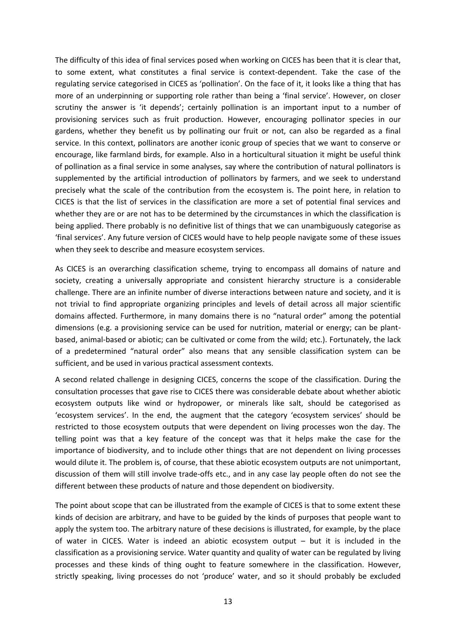The difficulty of this idea of final services posed when working on CICES has been that it is clear that, to some extent, what constitutes a final service is context-dependent. Take the case of the regulating service categorised in CICES as 'pollination'. On the face of it, it looks like a thing that has more of an underpinning or supporting role rather than being a 'final service'. However, on closer scrutiny the answer is 'it depends'; certainly pollination is an important input to a number of provisioning services such as fruit production. However, encouraging pollinator species in our gardens, whether they benefit us by pollinating our fruit or not, can also be regarded as a final service. In this context, pollinators are another iconic group of species that we want to conserve or encourage, like farmland birds, for example. Also in a horticultural situation it might be useful think of pollination as a final service in some analyses, say where the contribution of natural pollinators is supplemented by the artificial introduction of pollinators by farmers, and we seek to understand precisely what the scale of the contribution from the ecosystem is. The point here, in relation to CICES is that the list of services in the classification are more a set of potential final services and whether they are or are not has to be determined by the circumstances in which the classification is being applied. There probably is no definitive list of things that we can unambiguously categorise as 'final services'. Any future version of CICES would have to help people navigate some of these issues when they seek to describe and measure ecosystem services.

As CICES is an overarching classification scheme, trying to encompass all domains of nature and society, creating a universally appropriate and consistent hierarchy structure is a considerable challenge. There are an infinite number of diverse interactions between nature and society, and it is not trivial to find appropriate organizing principles and levels of detail across all major scientific domains affected. Furthermore, in many domains there is no "natural order" among the potential dimensions (e.g. a provisioning service can be used for nutrition, material or energy; can be plantbased, animal-based or abiotic; can be cultivated or come from the wild; etc.). Fortunately, the lack of a predetermined "natural order" also means that any sensible classification system can be sufficient, and be used in various practical assessment contexts.

A second related challenge in designing CICES, concerns the scope of the classification. During the consultation processes that gave rise to CICES there was considerable debate about whether abiotic ecosystem outputs like wind or hydropower, or minerals like salt, should be categorised as 'ecosystem services'. In the end, the augment that the category 'ecosystem services' should be restricted to those ecosystem outputs that were dependent on living processes won the day. The telling point was that a key feature of the concept was that it helps make the case for the importance of biodiversity, and to include other things that are not dependent on living processes would dilute it. The problem is, of course, that these abiotic ecosystem outputs are not unimportant, discussion of them will still involve trade-offs etc., and in any case lay people often do not see the different between these products of nature and those dependent on biodiversity.

The point about scope that can be illustrated from the example of CICES is that to some extent these kinds of decision are arbitrary, and have to be guided by the kinds of purposes that people want to apply the system too. The arbitrary nature of these decisions is illustrated, for example, by the place of water in CICES. Water is indeed an abiotic ecosystem output – but it is included in the classification as a provisioning service. Water quantity and quality of water can be regulated by living processes and these kinds of thing ought to feature somewhere in the classification. However, strictly speaking, living processes do not 'produce' water, and so it should probably be excluded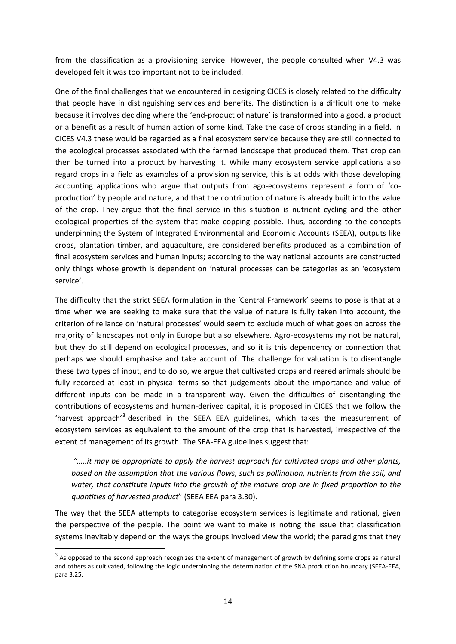from the classification as a provisioning service. However, the people consulted when V4.3 was developed felt it was too important not to be included.

One of the final challenges that we encountered in designing CICES is closely related to the difficulty that people have in distinguishing services and benefits. The distinction is a difficult one to make because it involves deciding where the 'end-product of nature' is transformed into a good, a product or a benefit as a result of human action of some kind. Take the case of crops standing in a field. In CICES V4.3 these would be regarded as a final ecosystem service because they are still connected to the ecological processes associated with the farmed landscape that produced them. That crop can then be turned into a product by harvesting it. While many ecosystem service applications also regard crops in a field as examples of a provisioning service, this is at odds with those developing accounting applications who argue that outputs from ago-ecosystems represent a form of 'coproduction' by people and nature, and that the contribution of nature is already built into the value of the crop. They argue that the final service in this situation is nutrient cycling and the other ecological properties of the system that make copping possible. Thus, according to the concepts underpinning the System of Integrated Environmental and Economic Accounts (SEEA), outputs like crops, plantation timber, and aquaculture, are considered benefits produced as a combination of final ecosystem services and human inputs; according to the way national accounts are constructed only things whose growth is dependent on 'natural processes can be categories as an 'ecosystem service'.

The difficulty that the strict SEEA formulation in the 'Central Framework' seems to pose is that at a time when we are seeking to make sure that the value of nature is fully taken into account, the criterion of reliance on 'natural processes' would seem to exclude much of what goes on across the majority of landscapes not only in Europe but also elsewhere. Agro-ecosystems my not be natural, but they do still depend on ecological processes, and so it is this dependency or connection that perhaps we should emphasise and take account of. The challenge for valuation is to disentangle these two types of input, and to do so, we argue that cultivated crops and reared animals should be fully recorded at least in physical terms so that judgements about the importance and value of different inputs can be made in a transparent way. Given the difficulties of disentangling the contributions of ecosystems and human-derived capital, it is proposed in CICES that we follow the 'harvest approach'<sup>3</sup> described in the SEEA EEA guidelines, which takes the measurement of ecosystem services as equivalent to the amount of the crop that is harvested, irrespective of the extent of management of its growth. The SEA-EEA guidelines suggest that:

*"…..it may be appropriate to apply the harvest approach for cultivated crops and other plants, based on the assumption that the various flows, such as pollination, nutrients from the soil, and water, that constitute inputs into the growth of the mature crop are in fixed proportion to the quantities of harvested product*" (SEEA EEA para 3.30).

The way that the SEEA attempts to categorise ecosystem services is legitimate and rational, given the perspective of the people. The point we want to make is noting the issue that classification systems inevitably depend on the ways the groups involved view the world; the paradigms that they

**.** 

 $3$  As opposed to the second approach recognizes the extent of management of growth by defining some crops as natural and others as cultivated, following the logic underpinning the determination of the SNA production boundary (SEEA-EEA, para 3.25.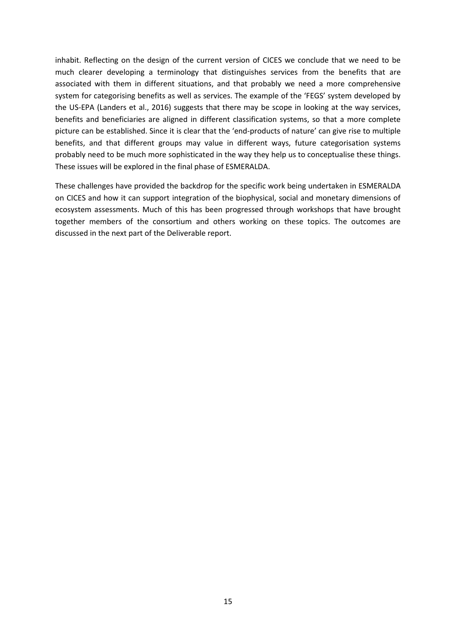inhabit. Reflecting on the design of the current version of CICES we conclude that we need to be much clearer developing a terminology that distinguishes services from the benefits that are associated with them in different situations, and that probably we need a more comprehensive system for categorising benefits as well as services. The example of the 'FEGS' system developed by the US-EPA (Landers et al., 2016) suggests that there may be scope in looking at the way services, benefits and beneficiaries are aligned in different classification systems, so that a more complete picture can be established. Since it is clear that the 'end-products of nature' can give rise to multiple benefits, and that different groups may value in different ways, future categorisation systems probably need to be much more sophisticated in the way they help us to conceptualise these things. These issues will be explored in the final phase of ESMERALDA.

These challenges have provided the backdrop for the specific work being undertaken in ESMERALDA on CICES and how it can support integration of the biophysical, social and monetary dimensions of ecosystem assessments. Much of this has been progressed through workshops that have brought together members of the consortium and others working on these topics. The outcomes are discussed in the next part of the Deliverable report.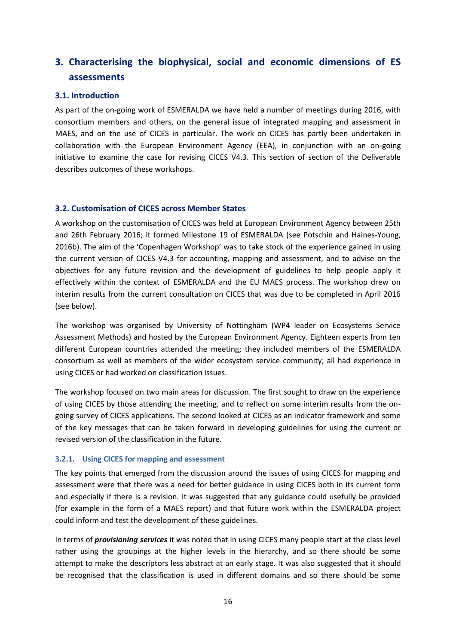## <span id="page-21-0"></span>**3. Characterising the biophysical, social and economic dimensions of ES assessments**

#### <span id="page-21-1"></span>**3.1. Introduction**

As part of the on-going work of ESMERALDA we have held a number of meetings during 2016, with consortium members and others, on the general issue of integrated mapping and assessment in MAES, and on the use of CICES in particular. The work on CICES has partly been undertaken in collaboration with the European Environment Agency (EEA), in conjunction with an on-going initiative to examine the case for revising CICES V4.3. This section of section of the Deliverable describes outcomes of these workshops.

#### <span id="page-21-2"></span>**3.2. Customisation of CICES across Member States**

A workshop on the customisation of CICES was held at European Environment Agency between 25th and 26th February 2016; it formed Milestone 19 of ESMERALDA (see Potschin and Haines-Young, 2016b). The aim of the 'Copenhagen Workshop' was to take stock of the experience gained in using the current version of CICES V4.3 for accounting, mapping and assessment, and to advise on the objectives for any future revision and the development of guidelines to help people apply it effectively within the context of ESMERALDA and the EU MAES process. The workshop drew on interim results from the current consultation on CICES that was due to be completed in April 2016 (see below).

The workshop was organised by University of Nottingham (WP4 leader on Ecosystems Service Assessment Methods) and hosted by the European Environment Agency. Eighteen experts from ten different European countries attended the meeting; they included members of the ESMERALDA consortium as well as members of the wider ecosystem service community; all had experience in using CICES or had worked on classification issues.

The workshop focused on two main areas for discussion. The first sought to draw on the experience of using CICES by those attending the meeting, and to reflect on some interim results from the ongoing survey of CICES applications. The second looked at CICES as an indicator framework and some of the key messages that can be taken forward in developing guidelines for using the current or revised version of the classification in the future.

#### <span id="page-21-3"></span>**3.2.1. Using CICES for mapping and assessment**

The key points that emerged from the discussion around the issues of using CICES for mapping and assessment were that there was a need for better guidance in using CICES both in its current form and especially if there is a revision. It was suggested that any guidance could usefully be provided (for example in the form of a MAES report) and that future work within the ESMERALDA project could inform and test the development of these guidelines.

In terms of *provisioning services* it was noted that in using CICES many people start at the class level rather using the groupings at the higher levels in the hierarchy, and so there should be some attempt to make the descriptors less abstract at an early stage. It was also suggested that it should be recognised that the classification is used in different domains and so there should be some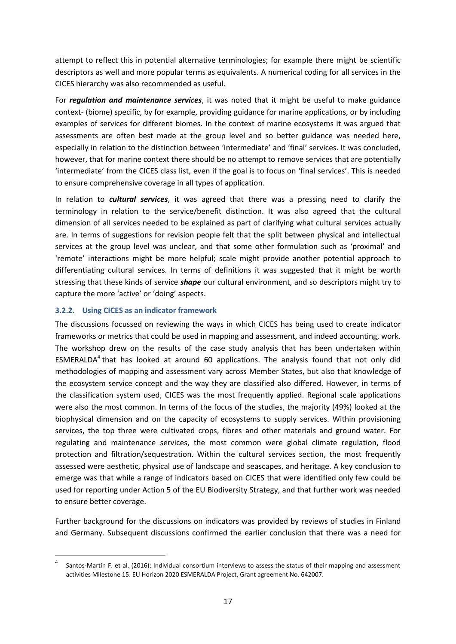attempt to reflect this in potential alternative terminologies; for example there might be scientific descriptors as well and more popular terms as equivalents. A numerical coding for all services in the CICES hierarchy was also recommended as useful.

For *regulation and maintenance services*, it was noted that it might be useful to make guidance context- (biome) specific, by for example, providing guidance for marine applications, or by including examples of services for different biomes. In the context of marine ecosystems it was argued that assessments are often best made at the group level and so better guidance was needed here, especially in relation to the distinction between 'intermediate' and 'final' services. It was concluded, however, that for marine context there should be no attempt to remove services that are potentially 'intermediate' from the CICES class list, even if the goal is to focus on 'final services'. This is needed to ensure comprehensive coverage in all types of application.

In relation to *cultural services*, it was agreed that there was a pressing need to clarify the terminology in relation to the service/benefit distinction. It was also agreed that the cultural dimension of all services needed to be explained as part of clarifying what cultural services actually are. In terms of suggestions for revision people felt that the split between physical and intellectual services at the group level was unclear, and that some other formulation such as 'proximal' and 'remote' interactions might be more helpful; scale might provide another potential approach to differentiating cultural services. In terms of definitions it was suggested that it might be worth stressing that these kinds of service *shape* our cultural environment, and so descriptors might try to capture the more 'active' or 'doing' aspects.

#### <span id="page-22-0"></span>**3.2.2. Using CICES as an indicator framework**

 $\overline{a}$ 

The discussions focussed on reviewing the ways in which CICES has being used to create indicator frameworks or metrics that could be used in mapping and assessment, and indeed accounting, work. The workshop drew on the results of the case study analysis that has been undertaken within ESMERALDA<sup>4</sup> that has looked at around 60 applications. The analysis found that not only did methodologies of mapping and assessment vary across Member States, but also that knowledge of the ecosystem service concept and the way they are classified also differed. However, in terms of the classification system used, CICES was the most frequently applied. Regional scale applications were also the most common. In terms of the focus of the studies, the majority (49%) looked at the biophysical dimension and on the capacity of ecosystems to supply services. Within provisioning services, the top three were cultivated crops, fibres and other materials and ground water. For regulating and maintenance services, the most common were global climate regulation, flood protection and filtration/sequestration. Within the cultural services section, the most frequently assessed were aesthetic, physical use of landscape and seascapes, and heritage. A key conclusion to emerge was that while a range of indicators based on CICES that were identified only few could be used for reporting under Action 5 of the EU Biodiversity Strategy, and that further work was needed to ensure better coverage.

Further background for the discussions on indicators was provided by reviews of studies in Finland and Germany. Subsequent discussions confirmed the earlier conclusion that there was a need for

<sup>4</sup> Santos-Martin F. et al. (2016): Individual consortium interviews to assess the status of their mapping and assessment activities Milestone 15. EU Horizon 2020 ESMERALDA Project, Grant agreement No. 642007.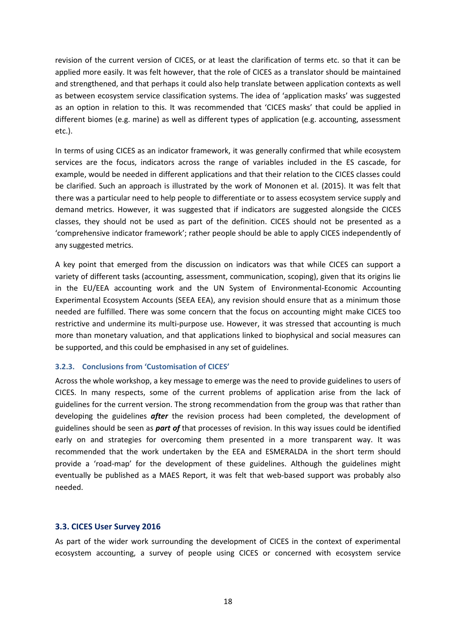revision of the current version of CICES, or at least the clarification of terms etc. so that it can be applied more easily. It was felt however, that the role of CICES as a translator should be maintained and strengthened, and that perhaps it could also help translate between application contexts as well as between ecosystem service classification systems. The idea of 'application masks' was suggested as an option in relation to this. It was recommended that 'CICES masks' that could be applied in different biomes (e.g. marine) as well as different types of application (e.g. accounting, assessment etc.).

In terms of using CICES as an indicator framework, it was generally confirmed that while ecosystem services are the focus, indicators across the range of variables included in the ES cascade, for example, would be needed in different applications and that their relation to the CICES classes could be clarified. Such an approach is illustrated by the work of Mononen et al. (2015). It was felt that there was a particular need to help people to differentiate or to assess ecosystem service supply and demand metrics. However, it was suggested that if indicators are suggested alongside the CICES classes, they should not be used as part of the definition. CICES should not be presented as a 'comprehensive indicator framework'; rather people should be able to apply CICES independently of any suggested metrics.

A key point that emerged from the discussion on indicators was that while CICES can support a variety of different tasks (accounting, assessment, communication, scoping), given that its origins lie in the EU/EEA accounting work and the UN System of Environmental-Economic Accounting Experimental Ecosystem Accounts (SEEA EEA), any revision should ensure that as a minimum those needed are fulfilled. There was some concern that the focus on accounting might make CICES too restrictive and undermine its multi-purpose use. However, it was stressed that accounting is much more than monetary valuation, and that applications linked to biophysical and social measures can be supported, and this could be emphasised in any set of guidelines.

#### <span id="page-23-0"></span>**3.2.3. Conclusions from 'Customisation of CICES'**

Across the whole workshop, a key message to emerge was the need to provide guidelines to users of CICES. In many respects, some of the current problems of application arise from the lack of guidelines for the current version. The strong recommendation from the group was that rather than developing the guidelines *after* the revision process had been completed, the development of guidelines should be seen as *part of* that processes of revision. In this way issues could be identified early on and strategies for overcoming them presented in a more transparent way. It was recommended that the work undertaken by the EEA and ESMERALDA in the short term should provide a 'road-map' for the development of these guidelines. Although the guidelines might eventually be published as a MAES Report, it was felt that web-based support was probably also needed.

#### <span id="page-23-1"></span>**3.3. CICES User Survey 2016**

As part of the wider work surrounding the development of CICES in the context of experimental ecosystem accounting, a survey of people using CICES or concerned with ecosystem service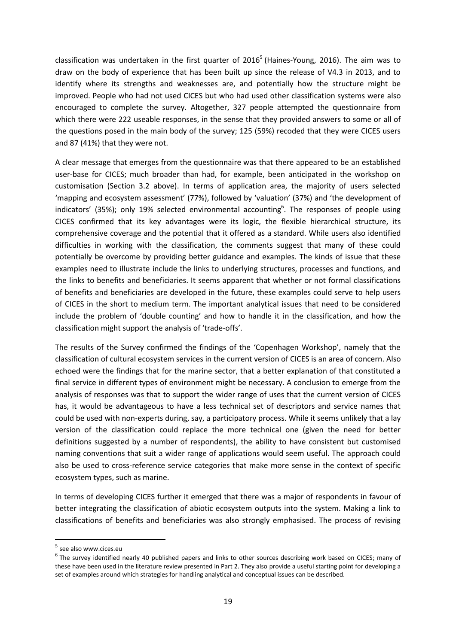classification was undertaken in the first quarter of 2016<sup>5</sup> (Haines-Young, 2016). The aim was to draw on the body of experience that has been built up since the release of V4.3 in 2013, and to identify where its strengths and weaknesses are, and potentially how the structure might be improved. People who had not used CICES but who had used other classification systems were also encouraged to complete the survey. Altogether, 327 people attempted the questionnaire from which there were 222 useable responses, in the sense that they provided answers to some or all of the questions posed in the main body of the survey; 125 (59%) recoded that they were CICES users and 87 (41%) that they were not.

A clear message that emerges from the questionnaire was that there appeared to be an established user-base for CICES; much broader than had, for example, been anticipated in the workshop on customisation (Section 3.2 above). In terms of application area, the majority of users selected 'mapping and ecosystem assessment' (77%), followed by 'valuation' (37%) and 'the development of indicators' (35%); only 19% selected environmental accounting<sup>6</sup>. The responses of people using CICES confirmed that its key advantages were its logic, the flexible hierarchical structure, its comprehensive coverage and the potential that it offered as a standard. While users also identified difficulties in working with the classification, the comments suggest that many of these could potentially be overcome by providing better guidance and examples. The kinds of issue that these examples need to illustrate include the links to underlying structures, processes and functions, and the links to benefits and beneficiaries. It seems apparent that whether or not formal classifications of benefits and beneficiaries are developed in the future, these examples could serve to help users of CICES in the short to medium term. The important analytical issues that need to be considered include the problem of 'double counting' and how to handle it in the classification, and how the classification might support the analysis of 'trade-offs'.

The results of the Survey confirmed the findings of the 'Copenhagen Workshop', namely that the classification of cultural ecosystem services in the current version of CICES is an area of concern. Also echoed were the findings that for the marine sector, that a better explanation of that constituted a final service in different types of environment might be necessary. A conclusion to emerge from the analysis of responses was that to support the wider range of uses that the current version of CICES has, it would be advantageous to have a less technical set of descriptors and service names that could be used with non-experts during, say, a participatory process. While it seems unlikely that a lay version of the classification could replace the more technical one (given the need for better definitions suggested by a number of respondents), the ability to have consistent but customised naming conventions that suit a wider range of applications would seem useful. The approach could also be used to cross-reference service categories that make more sense in the context of specific ecosystem types, such as marine.

In terms of developing CICES further it emerged that there was a major of respondents in favour of better integrating the classification of abiotic ecosystem outputs into the system. Making a link to classifications of benefits and beneficiaries was also strongly emphasised. The process of revising

1

<sup>5</sup> see also www.cices.eu

 $^6$  The survey identified nearly 40 published papers and links to other sources describing work based on CICES; many of these have been used in the literature review presented in Part 2. They also provide a useful starting point for developing a set of examples around which strategies for handling analytical and conceptual issues can be described.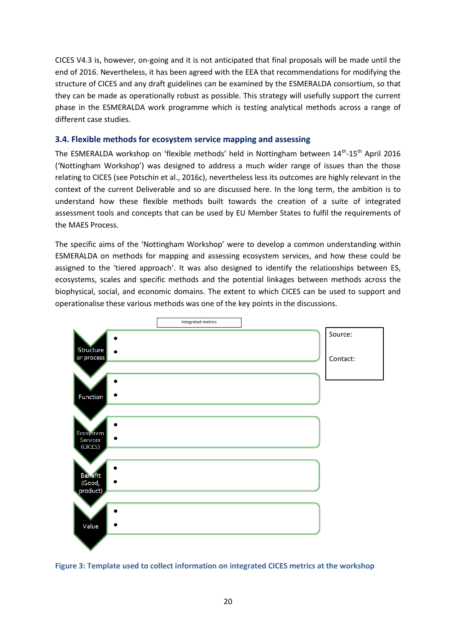CICES V4.3 is, however, on-going and it is not anticipated that final proposals will be made until the end of 2016. Nevertheless, it has been agreed with the EEA that recommendations for modifying the structure of CICES and any draft guidelines can be examined by the ESMERALDA consortium, so that they can be made as operationally robust as possible. This strategy will usefully support the current phase in the ESMERALDA work programme which is testing analytical methods across a range of different case studies.

#### <span id="page-25-0"></span>**3.4. Flexible methods for ecosystem service mapping and assessing**

The ESMERALDA workshop on 'flexible methods' held in Nottingham between  $14^{th}$ - $15^{th}$  April 2016 ('Nottingham Workshop') was designed to address a much wider range of issues than the those relating to CICES (see Potschin et al., 2016c), nevertheless less its outcomes are highly relevant in the context of the current Deliverable and so are discussed here. In the long term, the ambition is to understand how these flexible methods built towards the creation of a suite of integrated assessment tools and concepts that can be used by EU Member States to fulfil the requirements of the MAES Process.

The specific aims of the 'Nottingham Workshop' were to develop a common understanding within ESMERALDA on methods for mapping and assessing ecosystem services, and how these could be assigned to the 'tiered approach'. It was also designed to identify the relationships between ES, ecosystems, scales and specific methods and the potential linkages between methods across the biophysical, social, and economic domains. The extent to which CICES can be used to support and operationalise these various methods was one of the key points in the discussions.



**Figure 3: Template used to collect information on integrated CICES metrics at the workshop**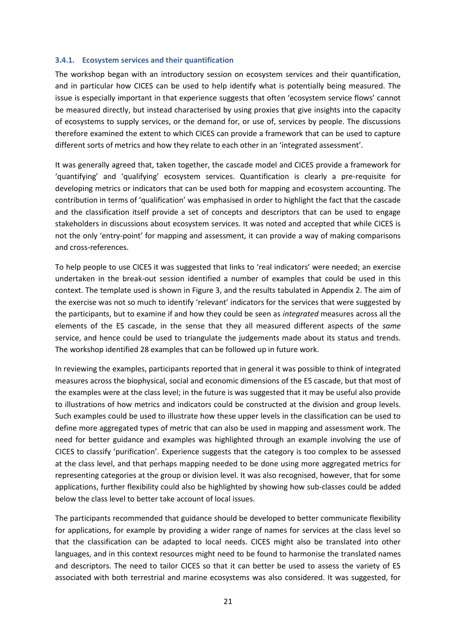#### <span id="page-26-0"></span>**3.4.1. Ecosystem services and their quantification**

The workshop began with an introductory session on ecosystem services and their quantification, and in particular how CICES can be used to help identify what is potentially being measured. The issue is especially important in that experience suggests that often 'ecosystem service flows' cannot be measured directly, but instead characterised by using proxies that give insights into the capacity of ecosystems to supply services, or the demand for, or use of, services by people. The discussions therefore examined the extent to which CICES can provide a framework that can be used to capture different sorts of metrics and how they relate to each other in an 'integrated assessment'.

It was generally agreed that, taken together, the cascade model and CICES provide a framework for 'quantifying' and 'qualifying' ecosystem services. Quantification is clearly a pre-requisite for developing metrics or indicators that can be used both for mapping and ecosystem accounting. The contribution in terms of 'qualification' was emphasised in order to highlight the fact that the cascade and the classification itself provide a set of concepts and descriptors that can be used to engage stakeholders in discussions about ecosystem services. It was noted and accepted that while CICES is not the only 'entry-point' for mapping and assessment, it can provide a way of making comparisons and cross-references.

To help people to use CICES it was suggested that links to 'real indicators' were needed; an exercise undertaken in the break-out session identified a number of examples that could be used in this context. The template used is shown in Figure 3, and the results tabulated in Appendix 2. The aim of the exercise was not so much to identify 'relevant' indicators for the services that were suggested by the participants, but to examine if and how they could be seen as *integrated* measures across all the elements of the ES cascade, in the sense that they all measured different aspects of the *same* service, and hence could be used to triangulate the judgements made about its status and trends. The workshop identified 28 examples that can be followed up in future work.

In reviewing the examples, participants reported that in general it was possible to think of integrated measures across the biophysical, social and economic dimensions of the ES cascade, but that most of the examples were at the class level; in the future is was suggested that it may be useful also provide to illustrations of how metrics and indicators could be constructed at the division and group levels. Such examples could be used to illustrate how these upper levels in the classification can be used to define more aggregated types of metric that can also be used in mapping and assessment work. The need for better guidance and examples was highlighted through an example involving the use of CICES to classify 'purification'. Experience suggests that the category is too complex to be assessed at the class level, and that perhaps mapping needed to be done using more aggregated metrics for representing categories at the group or division level. It was also recognised, however, that for some applications, further flexibility could also be highlighted by showing how sub-classes could be added below the class level to better take account of local issues.

The participants recommended that guidance should be developed to better communicate flexibility for applications, for example by providing a wider range of names for services at the class level so that the classification can be adapted to local needs. CICES might also be translated into other languages, and in this context resources might need to be found to harmonise the translated names and descriptors. The need to tailor CICES so that it can better be used to assess the variety of ES associated with both terrestrial and marine ecosystems was also considered. It was suggested, for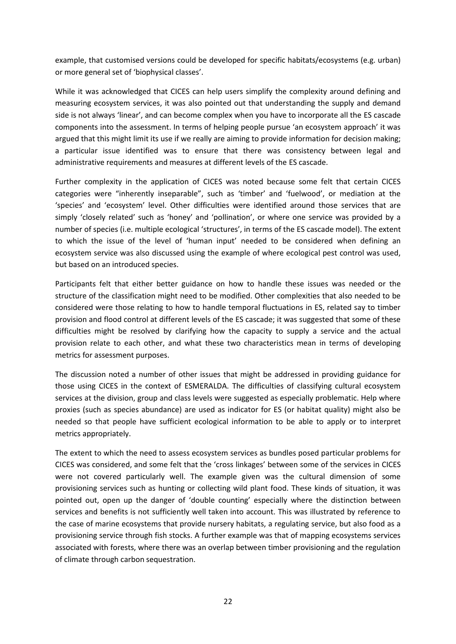example, that customised versions could be developed for specific habitats/ecosystems (e.g. urban) or more general set of 'biophysical classes'.

While it was acknowledged that CICES can help users simplify the complexity around defining and measuring ecosystem services, it was also pointed out that understanding the supply and demand side is not always 'linear', and can become complex when you have to incorporate all the ES cascade components into the assessment. In terms of helping people pursue 'an ecosystem approach' it was argued that this might limit its use if we really are aiming to provide information for decision making; a particular issue identified was to ensure that there was consistency between legal and administrative requirements and measures at different levels of the ES cascade.

Further complexity in the application of CICES was noted because some felt that certain CICES categories were "inherently inseparable", such as 'timber' and 'fuelwood', or mediation at the 'species' and 'ecosystem' level. Other difficulties were identified around those services that are simply 'closely related' such as 'honey' and 'pollination', or where one service was provided by a number of species (i.e. multiple ecological 'structures', in terms of the ES cascade model). The extent to which the issue of the level of 'human input' needed to be considered when defining an ecosystem service was also discussed using the example of where ecological pest control was used, but based on an introduced species.

Participants felt that either better guidance on how to handle these issues was needed or the structure of the classification might need to be modified. Other complexities that also needed to be considered were those relating to how to handle temporal fluctuations in ES, related say to timber provision and flood control at different levels of the ES cascade; it was suggested that some of these difficulties might be resolved by clarifying how the capacity to supply a service and the actual provision relate to each other, and what these two characteristics mean in terms of developing metrics for assessment purposes.

The discussion noted a number of other issues that might be addressed in providing guidance for those using CICES in the context of ESMERALDA. The difficulties of classifying cultural ecosystem services at the division, group and class levels were suggested as especially problematic. Help where proxies (such as species abundance) are used as indicator for ES (or habitat quality) might also be needed so that people have sufficient ecological information to be able to apply or to interpret metrics appropriately.

The extent to which the need to assess ecosystem services as bundles posed particular problems for CICES was considered, and some felt that the 'cross linkages' between some of the services in CICES were not covered particularly well. The example given was the cultural dimension of some provisioning services such as hunting or collecting wild plant food. These kinds of situation, it was pointed out, open up the danger of 'double counting' especially where the distinction between services and benefits is not sufficiently well taken into account. This was illustrated by reference to the case of marine ecosystems that provide nursery habitats, a regulating service, but also food as a provisioning service through fish stocks. A further example was that of mapping ecosystems services associated with forests, where there was an overlap between timber provisioning and the regulation of climate through carbon sequestration.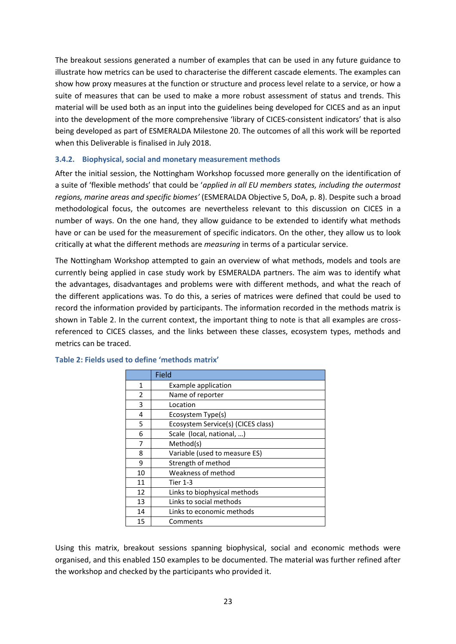The breakout sessions generated a number of examples that can be used in any future guidance to illustrate how metrics can be used to characterise the different cascade elements. The examples can show how proxy measures at the function or structure and process level relate to a service, or how a suite of measures that can be used to make a more robust assessment of status and trends. This material will be used both as an input into the guidelines being developed for CICES and as an input into the development of the more comprehensive 'library of CICES-consistent indicators' that is also being developed as part of ESMERALDA Milestone 20. The outcomes of all this work will be reported when this Deliverable is finalised in July 2018.

#### <span id="page-28-0"></span>**3.4.2. Biophysical, social and monetary measurement methods**

After the initial session, the Nottingham Workshop focussed more generally on the identification of a suite of 'flexible methods' that could be '*applied in all EU members states, including the outermost regions, marine areas and specific biomes'* (ESMERALDA Objective 5, DoA, p. 8). Despite such a broad methodological focus, the outcomes are nevertheless relevant to this discussion on CICES in a number of ways. On the one hand, they allow guidance to be extended to identify what methods have or can be used for the measurement of specific indicators. On the other, they allow us to look critically at what the different methods are *measuring* in terms of a particular service.

The Nottingham Workshop attempted to gain an overview of what methods, models and tools are currently being applied in case study work by ESMERALDA partners. The aim was to identify what the advantages, disadvantages and problems were with different methods, and what the reach of the different applications was. To do this, a series of matrices were defined that could be used to record the information provided by participants. The information recorded in the methods matrix is shown in Table 2. In the current context, the important thing to note is that all examples are crossreferenced to CICES classes, and the links between these classes, ecosystem types, methods and metrics can be traced.

|                | <b>Field</b>                       |
|----------------|------------------------------------|
| 1              | Example application                |
| $\overline{2}$ | Name of reporter                   |
| 3              | Location                           |
| 4              | Ecosystem Type(s)                  |
| 5              | Ecosystem Service(s) (CICES class) |
| 6              | Scale (local, national, )          |
| 7              | Method(s)                          |
| 8              | Variable (used to measure ES)      |
| 9              | Strength of method                 |
| 10             | Weakness of method                 |
| 11             | <b>Tier 1-3</b>                    |
| 12             | Links to biophysical methods       |
| 13             | Links to social methods            |
| 14             | Links to economic methods          |
| 15             | Comments                           |

#### **Table 2: Fields used to define 'methods matrix'**

Using this matrix, breakout sessions spanning biophysical, social and economic methods were organised, and this enabled 150 examples to be documented. The material was further refined after the workshop and checked by the participants who provided it.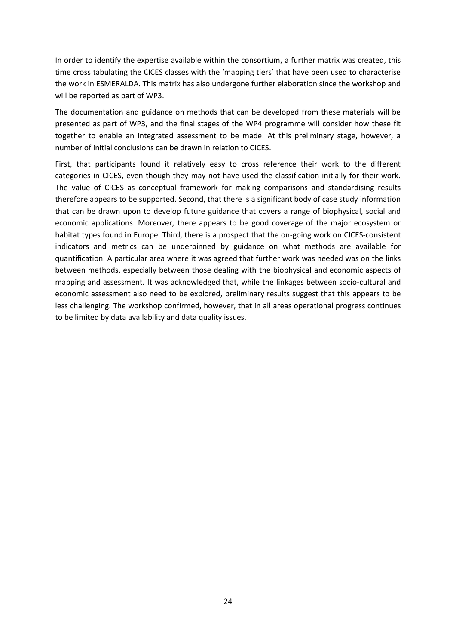In order to identify the expertise available within the consortium, a further matrix was created, this time cross tabulating the CICES classes with the 'mapping tiers' that have been used to characterise the work in ESMERALDA. This matrix has also undergone further elaboration since the workshop and will be reported as part of WP3.

The documentation and guidance on methods that can be developed from these materials will be presented as part of WP3, and the final stages of the WP4 programme will consider how these fit together to enable an integrated assessment to be made. At this preliminary stage, however, a number of initial conclusions can be drawn in relation to CICES.

First, that participants found it relatively easy to cross reference their work to the different categories in CICES, even though they may not have used the classification initially for their work. The value of CICES as conceptual framework for making comparisons and standardising results therefore appears to be supported. Second, that there is a significant body of case study information that can be drawn upon to develop future guidance that covers a range of biophysical, social and economic applications. Moreover, there appears to be good coverage of the major ecosystem or habitat types found in Europe. Third, there is a prospect that the on-going work on CICES-consistent indicators and metrics can be underpinned by guidance on what methods are available for quantification. A particular area where it was agreed that further work was needed was on the links between methods, especially between those dealing with the biophysical and economic aspects of mapping and assessment. It was acknowledged that, while the linkages between socio-cultural and economic assessment also need to be explored, preliminary results suggest that this appears to be less challenging. The workshop confirmed, however, that in all areas operational progress continues to be limited by data availability and data quality issues.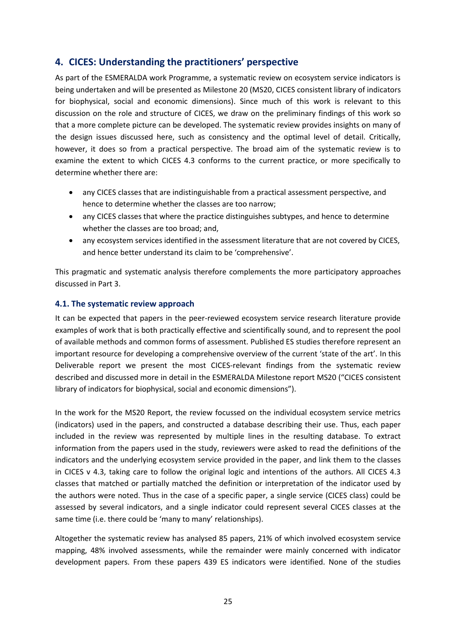## <span id="page-30-0"></span>**4. CICES: Understanding the practitioners' perspective**

As part of the ESMERALDA work Programme, a systematic review on ecosystem service indicators is being undertaken and will be presented as Milestone 20 (MS20, CICES consistent library of indicators for biophysical, social and economic dimensions). Since much of this work is relevant to this discussion on the role and structure of CICES, we draw on the preliminary findings of this work so that a more complete picture can be developed. The systematic review provides insights on many of the design issues discussed here, such as consistency and the optimal level of detail. Critically, however, it does so from a practical perspective. The broad aim of the systematic review is to examine the extent to which CICES 4.3 conforms to the current practice, or more specifically to determine whether there are:

- any CICES classes that are indistinguishable from a practical assessment perspective, and hence to determine whether the classes are too narrow;
- any CICES classes that where the practice distinguishes subtypes, and hence to determine whether the classes are too broad; and,
- any ecosystem services identified in the assessment literature that are not covered by CICES, and hence better understand its claim to be 'comprehensive'.

This pragmatic and systematic analysis therefore complements the more participatory approaches discussed in Part 3.

#### <span id="page-30-1"></span>**4.1. The systematic review approach**

It can be expected that papers in the peer-reviewed ecosystem service research literature provide examples of work that is both practically effective and scientifically sound, and to represent the pool of available methods and common forms of assessment. Published ES studies therefore represent an important resource for developing a comprehensive overview of the current 'state of the art'. In this Deliverable report we present the most CICES-relevant findings from the systematic review described and discussed more in detail in the ESMERALDA Milestone report MS20 ("CICES consistent library of indicators for biophysical, social and economic dimensions").

In the work for the MS20 Report, the review focussed on the individual ecosystem service metrics (indicators) used in the papers, and constructed a database describing their use. Thus, each paper included in the review was represented by multiple lines in the resulting database. To extract information from the papers used in the study, reviewers were asked to read the definitions of the indicators and the underlying ecosystem service provided in the paper, and link them to the classes in CICES v 4.3, taking care to follow the original logic and intentions of the authors. All CICES 4.3 classes that matched or partially matched the definition or interpretation of the indicator used by the authors were noted. Thus in the case of a specific paper, a single service (CICES class) could be assessed by several indicators, and a single indicator could represent several CICES classes at the same time (i.e. there could be 'many to many' relationships).

Altogether the systematic review has analysed 85 papers, 21% of which involved ecosystem service mapping, 48% involved assessments, while the remainder were mainly concerned with indicator development papers. From these papers 439 ES indicators were identified. None of the studies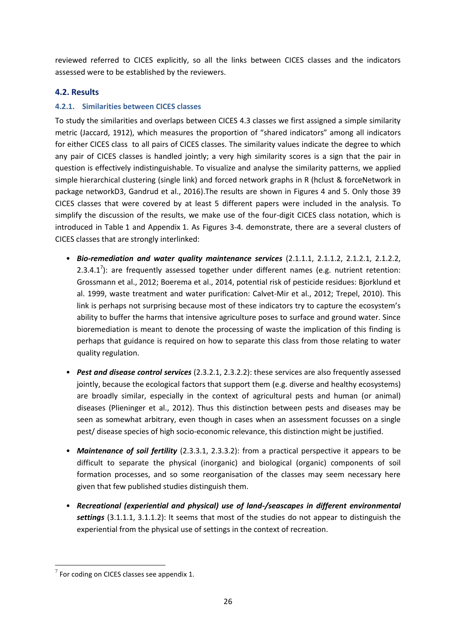reviewed referred to CICES explicitly, so all the links between CICES classes and the indicators assessed were to be established by the reviewers.

#### <span id="page-31-0"></span>**4.2. Results**

#### <span id="page-31-1"></span>**4.2.1. Similarities between CICES classes**

To study the similarities and overlaps between CICES 4.3 classes we first assigned a simple similarity metric (Jaccard, 1912), which measures the proportion of "shared indicators" among all indicators for either CICES class to all pairs of CICES classes. The similarity values indicate the degree to which any pair of CICES classes is handled jointly; a very high similarity scores is a sign that the pair in question is effectively indistinguishable. To visualize and analyse the similarity patterns, we applied simple hierarchical clustering (single link) and forced network graphs in R (hclust & forceNetwork in package networkD3, Gandrud et al., 2016).The results are shown in Figures 4 and 5. Only those 39 CICES classes that were covered by at least 5 different papers were included in the analysis. To simplify the discussion of the results, we make use of the four-digit CICES class notation, which is introduced in Table 1 and Appendix 1. As Figures 3-4. demonstrate, there are a several clusters of CICES classes that are strongly interlinked:

- *Bio-remediation and water quality maintenance services* (2.1.1.1, 2.1.1.2, 2.1.2.1, 2.1.2.2, 2.3.4.1<sup>7</sup>): are frequently assessed together under different names (e.g. nutrient retention: Grossmann et al., 2012; Boerema et al., 2014, potential risk of pesticide residues: Bjorklund et al. 1999, waste treatment and water purification: Calvet-Mir et al., 2012; Trepel, 2010). This link is perhaps not surprising because most of these indicators try to capture the ecosystem's ability to buffer the harms that intensive agriculture poses to surface and ground water. Since bioremediation is meant to denote the processing of waste the implication of this finding is perhaps that guidance is required on how to separate this class from those relating to water quality regulation.
- *Pest and disease control services* (2.3.2.1, 2.3.2.2): these services are also frequently assessed jointly, because the ecological factors that support them (e.g. diverse and healthy ecosystems) are broadly similar, especially in the context of agricultural pests and human (or animal) diseases (Plieninger et al., 2012). Thus this distinction between pests and diseases may be seen as somewhat arbitrary, even though in cases when an assessment focusses on a single pest/ disease species of high socio-economic relevance, this distinction might be justified.
- *Maintenance of soil fertility* (2.3.3.1, 2.3.3.2): from a practical perspective it appears to be difficult to separate the physical (inorganic) and biological (organic) components of soil formation processes, and so some reorganisation of the classes may seem necessary here given that few published studies distinguish them.
- *Recreational (experiential and physical) use of land-/seascapes in different environmental settings* (3.1.1.1, 3.1.1.2): It seems that most of the studies do not appear to distinguish the experiential from the physical use of settings in the context of recreation.

**.** 

 $7$  For coding on CICES classes see appendix 1.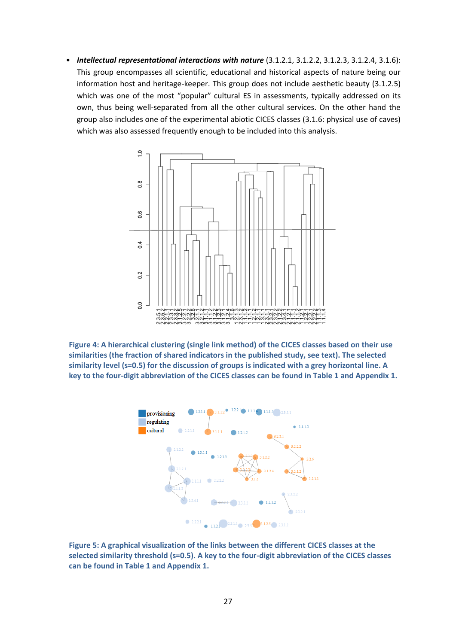• *Intellectual representational interactions with nature* (3.1.2.1, 3.1.2.2, 3.1.2.3, 3.1.2.4, 3.1.6): This group encompasses all scientific, educational and historical aspects of nature being our information host and heritage-keeper. This group does not include aesthetic beauty (3.1.2.5) which was one of the most "popular" cultural ES in assessments, typically addressed on its own, thus being well-separated from all the other cultural services. On the other hand the group also includes one of the experimental abiotic CICES classes (3.1.6: physical use of caves) which was also assessed frequently enough to be included into this analysis.







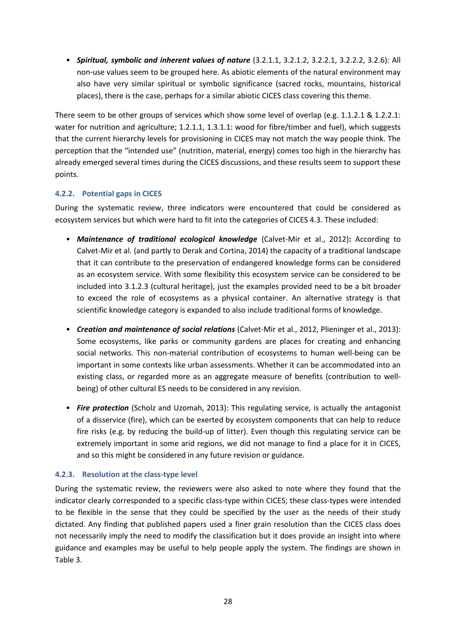• *Spiritual, symbolic and inherent values of nature* (3.2.1.1, 3.2.1.2, 3.2.2.1, 3.2.2.2, 3.2.6): All non-use values seem to be grouped here. As abiotic elements of the natural environment may also have very similar spiritual or symbolic significance (sacred rocks, mountains, historical places), there is the case, perhaps for a similar abiotic CICES class covering this theme.

There seem to be other groups of services which show some level of overlap (e.g. 1.1.2.1 & 1.2.2.1: water for nutrition and agriculture; 1.2.1.1, 1.3.1.1: wood for fibre/timber and fuel), which suggests that the current hierarchy levels for provisioning in CICES may not match the way people think. The perception that the "intended use" (nutrition, material, energy) comes too high in the hierarchy has already emerged several times during the CICES discussions, and these results seem to support these points.

#### <span id="page-33-0"></span>**4.2.2. Potential gaps in CICES**

During the systematic review, three indicators were encountered that could be considered as ecosystem services but which were hard to fit into the categories of CICES 4.3. These included:

- *Maintenance of traditional ecological knowledge* (Calvet-Mir et al., 2012)**:** According to Calvet-Mir et al. (and partly to Derak and Cortina, 2014) the capacity of a traditional landscape that it can contribute to the preservation of endangered knowledge forms can be considered as an ecosystem service. With some flexibility this ecosystem service can be considered to be included into 3.1.2.3 (cultural heritage), just the examples provided need to be a bit broader to exceed the role of ecosystems as a physical container. An alternative strategy is that scientific knowledge category is expanded to also include traditional forms of knowledge.
- *Creation and maintenance of social relations* (Calvet-Mir et al., 2012, Plieninger et al., 2013): Some ecosystems, like parks or community gardens are places for creating and enhancing social networks. This non-material contribution of ecosystems to human well-being can be important in some contexts like urban assessments. Whether it can be accommodated into an existing class, or regarded more as an aggregate measure of benefits (contribution to wellbeing) of other cultural ES needs to be considered in any revision.
- *Fire protection* (Scholz and Uzomah, 2013): This regulating service, is actually the antagonist of a disservice (fire), which can be exerted by ecosystem components that can help to reduce fire risks (e.g. by reducing the build-up of litter). Even though this regulating service can be extremely important in some arid regions, we did not manage to find a place for it in CICES, and so this might be considered in any future revision or guidance.

#### <span id="page-33-1"></span>**4.2.3. Resolution at the class-type level**

During the systematic review, the reviewers were also asked to note where they found that the indicator clearly corresponded to a specific class-type within CICES; these class-types were intended to be flexible in the sense that they could be specified by the user as the needs of their study dictated. Any finding that published papers used a finer grain resolution than the CICES class does not necessarily imply the need to modify the classification but it does provide an insight into where guidance and examples may be useful to help people apply the system. The findings are shown in Table 3.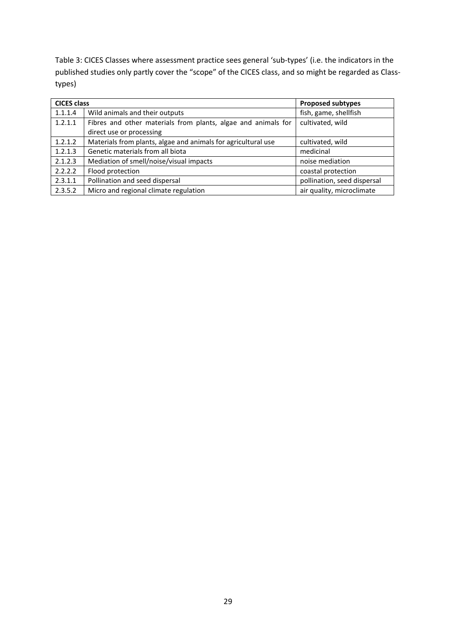Table 3: CICES Classes where assessment practice sees general 'sub-types' (i.e. the indicators in the published studies only partly cover the "scope" of the CICES class, and so might be regarded as Classtypes)

| <b>CICES class</b> |                                                               | <b>Proposed subtypes</b>    |  |  |
|--------------------|---------------------------------------------------------------|-----------------------------|--|--|
| 1.1.1.4            | Wild animals and their outputs                                | fish, game, shellfish       |  |  |
| 1.2.1.1            | Fibres and other materials from plants, algae and animals for | cultivated, wild            |  |  |
|                    | direct use or processing                                      |                             |  |  |
| 1.2.1.2            | Materials from plants, algae and animals for agricultural use | cultivated, wild            |  |  |
| 1.2.1.3            | Genetic materials from all biota                              | medicinal                   |  |  |
| 2.1.2.3            | Mediation of smell/noise/visual impacts                       | noise mediation             |  |  |
| 2.2.2.2            | Flood protection                                              | coastal protection          |  |  |
| 2.3.1.1            | Pollination and seed dispersal                                | pollination, seed dispersal |  |  |
| 2.3.5.2            | Micro and regional climate regulation                         | air quality, microclimate   |  |  |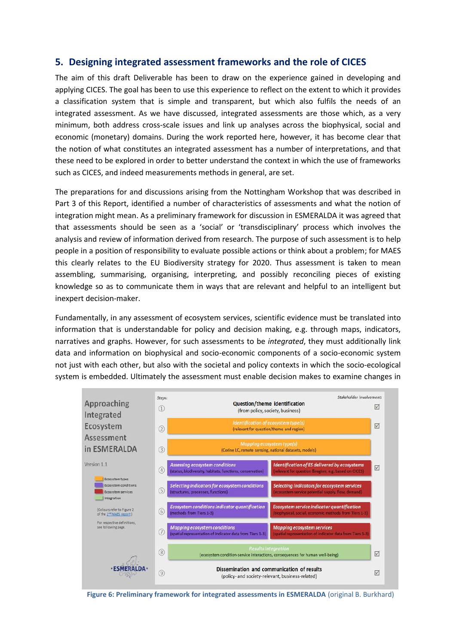## <span id="page-35-0"></span>**5. Designing integrated assessment frameworks and the role of CICES**

The aim of this draft Deliverable has been to draw on the experience gained in developing and applying CICES. The goal has been to use this experience to reflect on the extent to which it provides a classification system that is simple and transparent, but which also fulfils the needs of an integrated assessment. As we have discussed, integrated assessments are those which, as a very minimum, both address cross-scale issues and link up analyses across the biophysical, social and economic (monetary) domains. During the work reported here, however, it has become clear that the notion of what constitutes an integrated assessment has a number of interpretations, and that these need to be explored in order to better understand the context in which the use of frameworks such as CICES, and indeed measurements methods in general, are set.

The preparations for and discussions arising from the Nottingham Workshop that was described in Part 3 of this Report, identified a number of characteristics of assessments and what the notion of integration might mean. As a preliminary framework for discussion in ESMERALDA it was agreed that that assessments should be seen as a 'social' or 'transdisciplinary' process which involves the analysis and review of information derived from research. The purpose of such assessment is to help people in a position of responsibility to evaluate possible actions or think about a problem; for MAES this clearly relates to the EU Biodiversity strategy for 2020. Thus assessment is taken to mean assembling, summarising, organising, interpreting, and possibly reconciling pieces of existing knowledge so as to communicate them in ways that are relevant and helpful to an intelligent but inexpert decision-maker.

Fundamentally, in any assessment of ecosystem services, scientific evidence must be translated into information that is understandable for policy and decision making, e.g. through maps, indicators, narratives and graphs. However, for such assessments to be *integrated*, they must additionally link data and information on biophysical and socio-economic components of a socio-economic system not just with each other, but also with the societal and policy contexts in which the socio-ecological system is embedded. Ultimately the assessment must enable decision makes to examine changes in



**Figure 6: Preliminary framework for integrated assessments in ESMERALDA** (original B. Burkhard)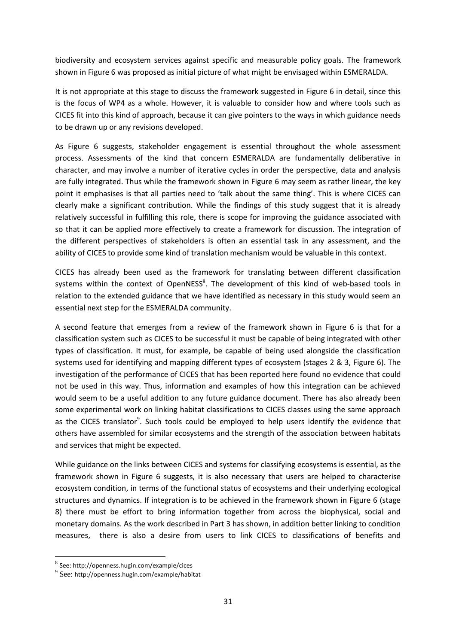biodiversity and ecosystem services against specific and measurable policy goals. The framework shown in Figure 6 was proposed as initial picture of what might be envisaged within ESMERALDA.

It is not appropriate at this stage to discuss the framework suggested in Figure 6 in detail, since this is the focus of WP4 as a whole. However, it is valuable to consider how and where tools such as CICES fit into this kind of approach, because it can give pointers to the ways in which guidance needs to be drawn up or any revisions developed.

As Figure 6 suggests, stakeholder engagement is essential throughout the whole assessment process. Assessments of the kind that concern ESMERALDA are fundamentally deliberative in character, and may involve a number of iterative cycles in order the perspective, data and analysis are fully integrated. Thus while the framework shown in Figure 6 may seem as rather linear, the key point it emphasises is that all parties need to 'talk about the same thing'. This is where CICES can clearly make a significant contribution. While the findings of this study suggest that it is already relatively successful in fulfilling this role, there is scope for improving the guidance associated with so that it can be applied more effectively to create a framework for discussion. The integration of the different perspectives of stakeholders is often an essential task in any assessment, and the ability of CICES to provide some kind of translation mechanism would be valuable in this context.

CICES has already been used as the framework for translating between different classification systems within the context of OpenNESS<sup>8</sup>. The development of this kind of web-based tools in relation to the extended guidance that we have identified as necessary in this study would seem an essential next step for the ESMERALDA community.

A second feature that emerges from a review of the framework shown in Figure 6 is that for a classification system such as CICES to be successful it must be capable of being integrated with other types of classification. It must, for example, be capable of being used alongside the classification systems used for identifying and mapping different types of ecosystem (stages 2 & 3, Figure 6). The investigation of the performance of CICES that has been reported here found no evidence that could not be used in this way. Thus, information and examples of how this integration can be achieved would seem to be a useful addition to any future guidance document. There has also already been some experimental work on linking habitat classifications to CICES classes using the same approach as the CICES translator<sup>9</sup>. Such tools could be employed to help users identify the evidence that others have assembled for similar ecosystems and the strength of the association between habitats and services that might be expected.

While guidance on the links between CICES and systems for classifying ecosystems is essential, as the framework shown in Figure 6 suggests, it is also necessary that users are helped to characterise ecosystem condition, in terms of the functional status of ecosystems and their underlying ecological structures and dynamics. If integration is to be achieved in the framework shown in Figure 6 (stage 8) there must be effort to bring information together from across the biophysical, social and monetary domains. As the work described in Part 3 has shown, in addition better linking to condition measures, there is also a desire from users to link CICES to classifications of benefits and

**.** 

<sup>8</sup> See: http://openness.hugin.com/example/cices

 $^{9}$  See: http://openness.hugin.com/example/habitat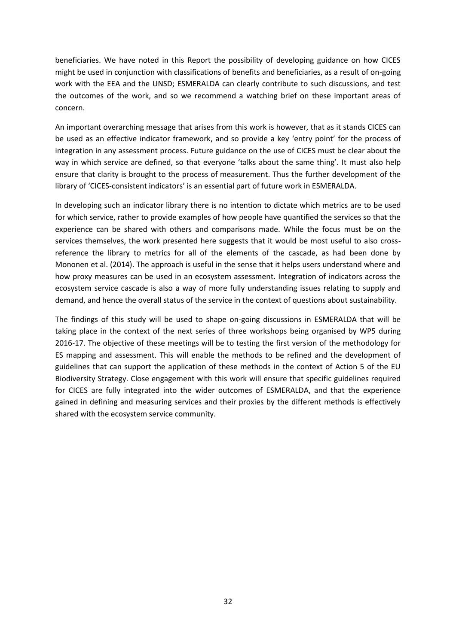beneficiaries. We have noted in this Report the possibility of developing guidance on how CICES might be used in conjunction with classifications of benefits and beneficiaries, as a result of on-going work with the EEA and the UNSD; ESMERALDA can clearly contribute to such discussions, and test the outcomes of the work, and so we recommend a watching brief on these important areas of concern.

An important overarching message that arises from this work is however, that as it stands CICES can be used as an effective indicator framework, and so provide a key 'entry point' for the process of integration in any assessment process. Future guidance on the use of CICES must be clear about the way in which service are defined, so that everyone 'talks about the same thing'. It must also help ensure that clarity is brought to the process of measurement. Thus the further development of the library of 'CICES-consistent indicators' is an essential part of future work in ESMERALDA.

In developing such an indicator library there is no intention to dictate which metrics are to be used for which service, rather to provide examples of how people have quantified the services so that the experience can be shared with others and comparisons made. While the focus must be on the services themselves, the work presented here suggests that it would be most useful to also crossreference the library to metrics for all of the elements of the cascade, as had been done by Mononen et al. (2014). The approach is useful in the sense that it helps users understand where and how proxy measures can be used in an ecosystem assessment. Integration of indicators across the ecosystem service cascade is also a way of more fully understanding issues relating to supply and demand, and hence the overall status of the service in the context of questions about sustainability.

The findings of this study will be used to shape on-going discussions in ESMERALDA that will be taking place in the context of the next series of three workshops being organised by WP5 during 2016-17. The objective of these meetings will be to testing the first version of the methodology for ES mapping and assessment. This will enable the methods to be refined and the development of guidelines that can support the application of these methods in the context of Action 5 of the EU Biodiversity Strategy. Close engagement with this work will ensure that specific guidelines required for CICES are fully integrated into the wider outcomes of ESMERALDA, and that the experience gained in defining and measuring services and their proxies by the different methods is effectively shared with the ecosystem service community.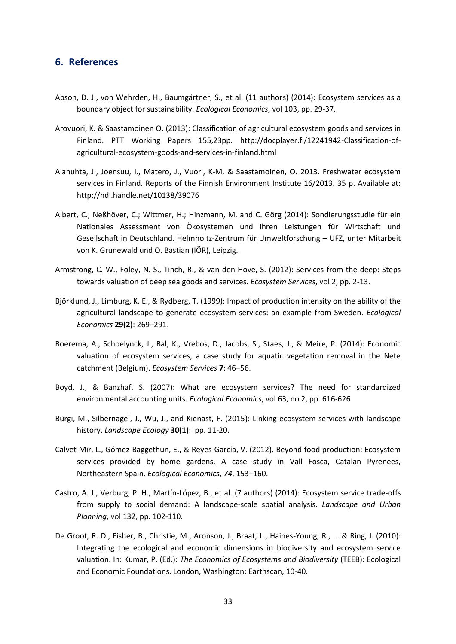#### <span id="page-38-0"></span>**6. References**

- Abson, D. J., von Wehrden, H., Baumgärtner, S., et al. (11 authors) (2014): Ecosystem services as a boundary object for sustainability. *Ecological Economics*, vol 103, pp. 29-37.
- Arovuori, K. & Saastamoinen O. (2013): Classification of agricultural ecosystem goods and services in Finland. PTT Working Papers 155,23pp. http://docplayer.fi/12241942-Classification-ofagricultural-ecosystem-goods-and-services-in-finland.html
- Alahuhta, J., Joensuu, I., Matero, J., Vuori, K-M. & Saastamoinen, O. 2013. Freshwater ecosystem services in Finland. Reports of the Finnish Environment Institute 16/2013. 35 p. Available at: http://hdl.handle.net/10138/39076
- Albert, C.; Neßhöver, C.; Wittmer, H.; Hinzmann, M. and C. Görg (2014): Sondierungsstudie für ein Nationales Assessment von Ökosystemen und ihren Leistungen für Wirtschaft und Gesellschaft in Deutschland. Helmholtz-Zentrum für Umweltforschung – UFZ, unter Mitarbeit von K. Grunewald und O. Bastian (IÖR), Leipzig.
- Armstrong, C. W., Foley, N. S., Tinch, R., & van den Hove, S. (2012): Services from the deep: Steps towards valuation of deep sea goods and services. *Ecosystem Services*, vol 2, pp. 2-13.
- Björklund, J., Limburg, K. E., & Rydberg, T. (1999): Impact of production intensity on the ability of the agricultural landscape to generate ecosystem services: an example from Sweden. *Ecological Economics* **29(2)**: 269–291.
- Boerema, A., Schoelynck, J., Bal, K., Vrebos, D., Jacobs, S., Staes, J., & Meire, P. (2014): Economic valuation of ecosystem services, a case study for aquatic vegetation removal in the Nete catchment (Belgium). *Ecosystem Services* **7**: 46–56.
- Boyd, J., & Banzhaf, S. (2007): What are ecosystem services? The need for standardized environmental accounting units. *Ecological Economics*, vol 63, no 2, pp. 616-626
- Bürgi, M., Silbernagel, J., Wu, J., and Kienast, F. (2015): Linking ecosystem services with landscape history. *Landscape Ecology* **30(1)**: pp. 11-20.
- Calvet-Mir, L., Gómez-Baggethun, E., & Reyes-García, V. (2012). Beyond food production: Ecosystem services provided by home gardens. A case study in Vall Fosca, Catalan Pyrenees, Northeastern Spain. *Ecological Economics*, *74*, 153–160.
- Castro, A. J., Verburg, P. H., Martín-López, B., et al. (7 authors) (2014): Ecosystem service trade-offs from supply to social demand: A landscape-scale spatial analysis. *Landscape and Urban Planning*, vol 132, pp. 102-110.
- De Groot, R. D., Fisher, B., Christie, M., Aronson, J., Braat, L., Haines-Young, R., ... & Ring, I. (2010): Integrating the ecological and economic dimensions in biodiversity and ecosystem service valuation. In: Kumar, P. (Ed.): *The Economics of Ecosystems and Biodiversity* (TEEB): Ecological and Economic Foundations. London, Washington: Earthscan, 10-40.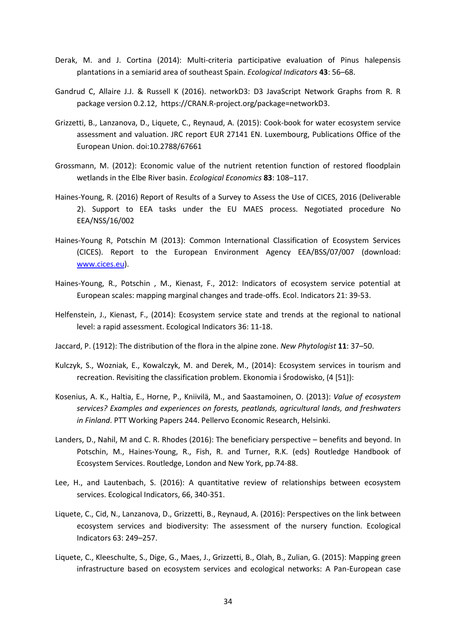- Derak, M. and J. Cortina (2014): Multi-criteria participative evaluation of Pinus halepensis plantations in a semiarid area of southeast Spain. *Ecological Indicators* **43**: 56–68.
- Gandrud C, Allaire J.J. & Russell K (2016). networkD3: D3 JavaScript Network Graphs from R. R package version 0.2.12, https://CRAN.R-project.org/package=networkD3.
- Grizzetti, B., Lanzanova, D., Liquete, C., Reynaud, A. (2015): Cook-book for water ecosystem service assessment and valuation. JRC report EUR 27141 EN. Luxembourg, Publications Office of the European Union. doi:10.2788/67661
- Grossmann, M. (2012): Economic value of the nutrient retention function of restored floodplain wetlands in the Elbe River basin. *Ecological Economics* **83**: 108–117.
- Haines-Young, R. (2016) Report of Results of a Survey to Assess the Use of CICES, 2016 (Deliverable 2). Support to EEA tasks under the EU MAES process. Negotiated procedure No EEA/NSS/16/002
- Haines-Young R, Potschin M (2013): Common International Classification of Ecosystem Services (CICES). Report to the European Environment Agency EEA/BSS/07/007 (download: [www.cices.eu\)](http://www.cices.eu/).
- Haines-Young, R., Potschin , M., Kienast, F., 2012: Indicators of ecosystem service potential at European scales: mapping marginal changes and trade-offs. Ecol. Indicators 21: 39-53.
- Helfenstein, J., Kienast, F., (2014): Ecosystem service state and trends at the regional to national level: a rapid assessment. Ecological Indicators 36: 11-18.
- Jaccard, P. (1912): The distribution of the flora in the alpine zone. *New Phytologist* **11**: 37–50.
- Kulczyk, S., Wozniak, E., Kowalczyk, M. and Derek, M., (2014): Ecosystem services in tourism and recreation. Revisiting the classification problem. Ekonomia i Środowisko, (4 [51]):
- Kosenius, A. K., Haltia, E., Horne, P., Kniivilä, M., and Saastamoinen, O. (2013): *Value of ecosystem services? Examples and experiences on forests, peatlands, agricultural lands, and freshwaters in Finland*. PTT Working Papers 244. Pellervo Economic Research, Helsinki.
- Landers, D., Nahil, M and C. R. Rhodes (2016): The beneficiary perspective benefits and beyond. In Potschin, M., Haines-Young, R., Fish, R. and Turner, R.K. (eds) Routledge Handbook of Ecosystem Services. Routledge, London and New York, pp.74-88.
- Lee, H., and Lautenbach, S. (2016): A quantitative review of relationships between ecosystem services. Ecological Indicators, 66, 340-351.
- Liquete, C., Cid, N., Lanzanova, D., Grizzetti, B., Reynaud, A. (2016): Perspectives on the link between ecosystem services and biodiversity: The assessment of the nursery function. Ecological Indicators 63: 249–257.
- Liquete, C., Kleeschulte, S., Dige, G., Maes, J., Grizzetti, B., Olah, B., Zulian, G. (2015): Mapping green infrastructure based on ecosystem services and ecological networks: A Pan-European case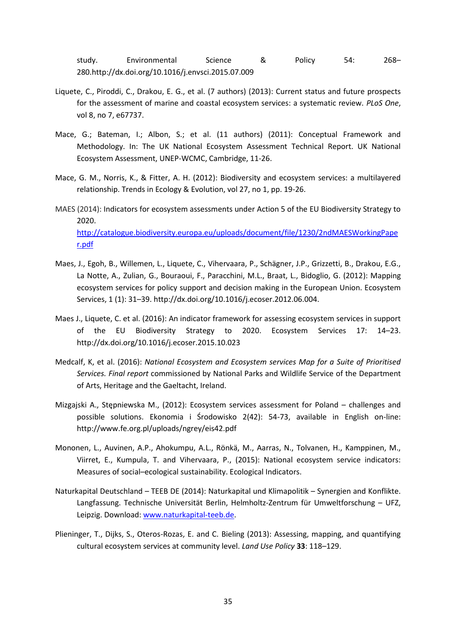study. Environmental Science & Policy 54: 268– 280.http://dx.doi.org/10.1016/j.envsci.2015.07.009

- Liquete, C., Piroddi, C., Drakou, E. G., et al. (7 authors) (2013): Current status and future prospects for the assessment of marine and coastal ecosystem services: a systematic review. *PLoS One*, vol 8, no 7, e67737.
- Mace, G.; Bateman, I.; Albon, S.; et al. (11 authors) (2011): Conceptual Framework and Methodology. In: The UK National Ecosystem Assessment Technical Report. UK National Ecosystem Assessment, UNEP-WCMC, Cambridge, 11-26.
- Mace, G. M., Norris, K., & Fitter, A. H. (2012): Biodiversity and ecosystem services: a multilayered relationship. Trends in Ecology & Evolution, vol 27, no 1, pp. 19-26.
- MAES (2014): Indicators for ecosystem assessments under Action 5 of the EU Biodiversity Strategy to 2020. [http://catalogue.biodiversity.europa.eu/uploads/document/file/1230/2ndMAESWorkingPape](http://catalogue.biodiversity.europa.eu/uploads/document/file/1230/2ndMAESWorkingPaper.pdf) [r.pdf](http://catalogue.biodiversity.europa.eu/uploads/document/file/1230/2ndMAESWorkingPaper.pdf)
- Maes, J., Egoh, B., Willemen, L., Liquete, C., Vihervaara, P., Schägner, J.P., Grizzetti, B., Drakou, E.G., La Notte, A., Zulian, G., Bouraoui, F., Paracchini, M.L., Braat, L., Bidoglio, G. (2012): Mapping ecosystem services for policy support and decision making in the European Union. Ecosystem Services, 1 (1): 31–39. http://dx.doi.org/10.1016/j.ecoser.2012.06.004.
- Maes J., Liquete, C. et al. (2016): An indicator framework for assessing ecosystem services in support of the EU Biodiversity Strategy to 2020. Ecosystem Services 17: 14–23. http://dx.doi.org/10.1016/j.ecoser.2015.10.023
- Medcalf, K, et al. (2016): *National Ecosystem and Ecosystem services Map for a Suite of Prioritised Services. Final report* commissioned by National Parks and Wildlife Service of the Department of Arts, Heritage and the Gaeltacht, Ireland.
- Mizgajski A., Stępniewska M., (2012): Ecosystem services assessment for Poland challenges and possible solutions. Ekonomia i Środowisko 2(42): 54-73, available in English on-line: http://www.fe.org.pl/uploads/ngrey/eis42.pdf
- Mononen, L., Auvinen, A.P., Ahokumpu, A.L., Rönkä, M., Aarras, N., Tolvanen, H., Kamppinen, M., Viirret, E., Kumpula, T. and Vihervaara, P., (2015): National ecosystem service indicators: Measures of social–ecological sustainability. Ecological Indicators.
- Naturkapital Deutschland TEEB DE (2014): Naturkapital und Klimapolitik Synergien and Konflikte. Langfassung. Technische Universität Berlin, Helmholtz-Zentrum für Umweltforschung – UFZ, Leipzig. Download: [www.naturkapital-teeb.de.](http://www.naturkapital-teeb.de/)
- Plieninger, T., Dijks, S., Oteros-Rozas, E. and C. Bieling (2013): Assessing, mapping, and quantifying cultural ecosystem services at community level. *Land Use Policy* **33**: 118–129.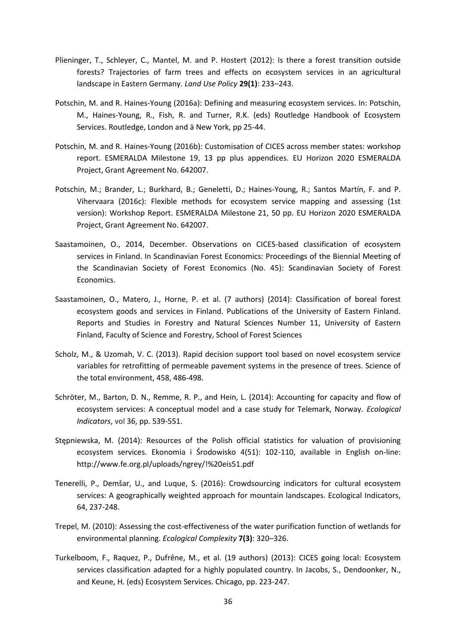- Plieninger, T., Schleyer, C., Mantel, M. and P. Hostert (2012): Is there a forest transition outside forests? Trajectories of farm trees and effects on ecosystem services in an agricultural landscape in Eastern Germany. *Land Use Policy* **29(1)**: 233–243.
- Potschin, M. and R. Haines-Young (2016a): Defining and measuring ecosystem services. In: Potschin, M., Haines-Young, R., Fish, R. and Turner, R.K. (eds) Routledge Handbook of Ecosystem Services. Routledge, London and ä New York, pp 25-44.
- Potschin, M. and R. Haines-Young (2016b): Customisation of CICES across member states: workshop report. ESMERALDA Milestone 19, 13 pp plus appendices. EU Horizon 2020 ESMERALDA Project, Grant Agreement No. 642007.
- Potschin, M.; Brander, L.; Burkhard, B.; Geneletti, D.; Haines-Young, R.; Santos Martín, F. and P. Vihervaara (2016c): Flexible methods for ecosystem service mapping and assessing (1st version): Workshop Report. ESMERALDA Milestone 21, 50 pp. EU Horizon 2020 ESMERALDA Project, Grant Agreement No. 642007.
- Saastamoinen, O., 2014, December. Observations on CICES-based classification of ecosystem services in Finland. In Scandinavian Forest Economics: Proceedings of the Biennial Meeting of the Scandinavian Society of Forest Economics (No. 45): Scandinavian Society of Forest Economics.
- Saastamoinen, O., Matero, J., Horne, P. et al. (7 authors) (2014): Classification of boreal forest ecosystem goods and services in Finland. Publications of the University of Eastern Finland. Reports and Studies in Forestry and Natural Sciences Number 11, University of Eastern Finland, Faculty of Science and Forestry, School of Forest Sciences
- Scholz, M., & Uzomah, V. C. (2013). Rapid decision support tool based on novel ecosystem service variables for retrofitting of permeable pavement systems in the presence of trees. Science of the total environment, 458, 486-498.
- Schröter, M., Barton, D. N., Remme, R. P., and Hein, L. (2014): Accounting for capacity and flow of ecosystem services: A conceptual model and a case study for Telemark, Norway. *Ecological Indicators*, vol 36, pp. 539-551.
- Stępniewska, M. (2014): Resources of the Polish official statistics for valuation of provisioning ecosystem services. Ekonomia i Środowisko 4(51): 102-110, available in English on-line: http://www.fe.org.pl/uploads/ngrey/!%20eis51.pdf
- Tenerelli, P., Demšar, U., and Luque, S. (2016): Crowdsourcing indicators for cultural ecosystem services: A geographically weighted approach for mountain landscapes. Ecological Indicators, 64, 237-248.
- Trepel, M. (2010): Assessing the cost-effectiveness of the water purification function of wetlands for environmental planning. *Ecological Complexity* **7(3)**: 320–326.
- Turkelboom, F., Raquez, P., Dufrêne, M., et al. (19 authors) (2013): CICES going local: Ecosystem services classification adapted for a highly populated country. In Jacobs, S., Dendoonker, N., and Keune, H. (eds) Ecosystem Services. Chicago, pp. 223-247.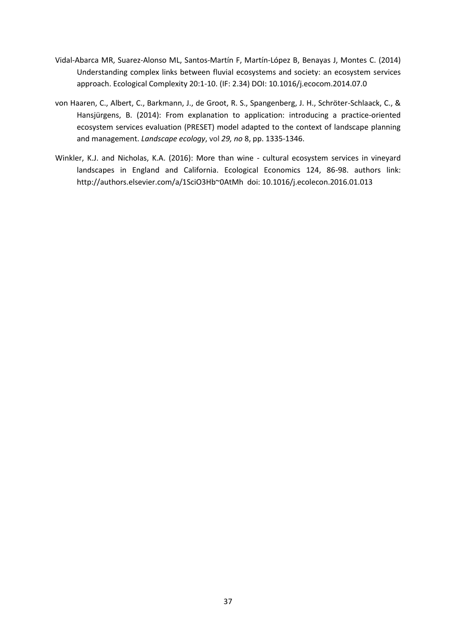- Vidal-Abarca MR, Suarez-Alonso ML, Santos-Martín F, Martín-López B, Benayas J, Montes C. (2014) Understanding complex links between fluvial ecosystems and society: an ecosystem services approach. Ecological Complexity 20:1-10. (IF: 2.34) DOI: 10.1016/j.ecocom.2014.07.0
- von Haaren, C., Albert, C., Barkmann, J., de Groot, R. S., Spangenberg, J. H., Schröter-Schlaack, C., & Hansjürgens, B. (2014): From explanation to application: introducing a practice-oriented ecosystem services evaluation (PRESET) model adapted to the context of landscape planning and management. *Landscape ecology*, vol *29, no* 8, pp. 1335-1346.
- Winkler, K.J. and Nicholas, K.A. (2016): More than wine cultural ecosystem services in vineyard landscapes in England and California. Ecological Economics 124, 86-98. authors link: http://authors.elsevier.com/a/1SciO3Hb~0AtMh doi: 10.1016/j.ecolecon.2016.01.013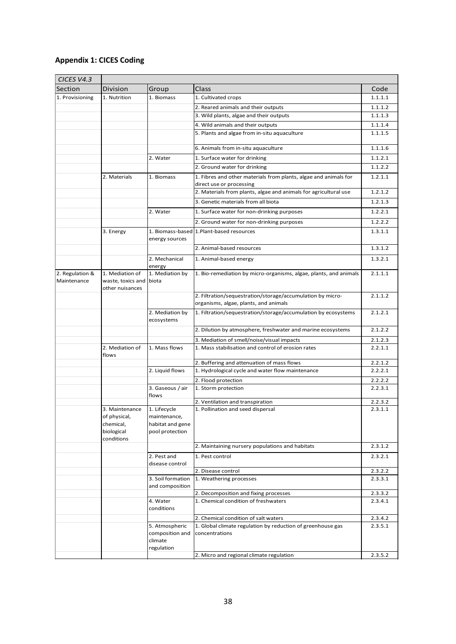## **Appendix 1: CICES Coding**

| CICES V4.3                     |                                                                         |                                                                     |                                                                                                     |         |  |  |
|--------------------------------|-------------------------------------------------------------------------|---------------------------------------------------------------------|-----------------------------------------------------------------------------------------------------|---------|--|--|
| Section                        | Division                                                                | Group                                                               | Class                                                                                               | Code    |  |  |
| 1. Provisioning                | 1. Nutrition                                                            | 1. Biomass                                                          | 1. Cultivated crops                                                                                 | 1.1.1.1 |  |  |
|                                |                                                                         |                                                                     | 2. Reared animals and their outputs                                                                 | 1.1.1.2 |  |  |
|                                |                                                                         |                                                                     | 3. Wild plants, algae and their outputs                                                             | 1.1.1.3 |  |  |
|                                |                                                                         |                                                                     | 4. Wild animals and their outputs                                                                   | 1.1.1.4 |  |  |
|                                |                                                                         |                                                                     | 5. Plants and algae from in-situ aquaculture                                                        | 1.1.1.5 |  |  |
|                                |                                                                         |                                                                     | 6. Animals from in-situ aquaculture                                                                 | 1.1.1.6 |  |  |
|                                |                                                                         | 2. Water                                                            | 1. Surface water for drinking                                                                       | 1.1.2.1 |  |  |
|                                |                                                                         |                                                                     | 2. Ground water for drinking                                                                        | 1.1.2.2 |  |  |
|                                | 2. Materials                                                            | 1. Biomass                                                          | 1. Fibres and other materials from plants, algae and animals for<br>direct use or processing        | 1.2.1.1 |  |  |
|                                |                                                                         |                                                                     | 2. Materials from plants, algae and animals for agricultural use                                    | 1.2.1.2 |  |  |
|                                |                                                                         |                                                                     | 3. Genetic materials from all biota                                                                 | 1.2.1.3 |  |  |
|                                | 2. Water<br>1. Surface water for non-drinking purposes                  |                                                                     |                                                                                                     |         |  |  |
|                                |                                                                         |                                                                     | 2. Ground water for non-drinking purposes                                                           | 1.2.2.2 |  |  |
|                                | 3. Energy                                                               |                                                                     | 1. Biomass-based 1. Plant-based resources                                                           |         |  |  |
|                                |                                                                         | energy sources                                                      |                                                                                                     | 1.3.1.1 |  |  |
|                                |                                                                         |                                                                     | 2. Animal-based resources                                                                           | 1.3.1.2 |  |  |
|                                |                                                                         | 2. Mechanical<br>energy                                             | 1. Animal-based energy                                                                              | 1.3.2.1 |  |  |
| 2. Regulation &<br>Maintenance | 1. Mediation of<br>waste, toxics and<br>other nuisances                 | 1. Mediation by<br>biota                                            | 1. Bio-remediation by micro-organisms, algae, plants, and animals                                   | 2.1.1.1 |  |  |
|                                |                                                                         |                                                                     | 2. Filtration/sequestration/storage/accumulation by micro-<br>organisms, algae, plants, and animals | 2.1.1.2 |  |  |
|                                |                                                                         | 2. Mediation by<br>ecosystems                                       | 1. Filtration/sequestration/storage/accumulation by ecosystems                                      | 2.1.2.1 |  |  |
|                                |                                                                         |                                                                     | 2. Dilution by atmosphere, freshwater and marine ecosystems                                         | 2.1.2.2 |  |  |
|                                |                                                                         |                                                                     | 3. Mediation of smell/noise/visual impacts                                                          | 2.1.2.3 |  |  |
|                                | 2. Mediation of<br>flows                                                | 1. Mass flows                                                       | 1. Mass stabilisation and control of erosion rates                                                  | 2.2.1.1 |  |  |
|                                |                                                                         |                                                                     | 2. Buffering and attenuation of mass flows                                                          | 2.2.1.2 |  |  |
|                                |                                                                         | 2. Liquid flows                                                     | 1. Hydrological cycle and water flow maintenance                                                    | 2.2.2.1 |  |  |
|                                |                                                                         |                                                                     | 2. Flood protection                                                                                 | 2.2.2.2 |  |  |
|                                |                                                                         | 3. Gaseous / air<br>flows                                           | 1. Storm protection                                                                                 | 2.2.3.1 |  |  |
|                                |                                                                         |                                                                     | 2. Ventilation and transpiration                                                                    | 2.2.3.2 |  |  |
|                                | 3. Maintenance<br>of physical,<br>chemical,<br>biological<br>conditions | 1. Lifecycle<br>maintenance,<br>habitat and gene<br>pool protection | 1. Pollination and seed dispersal                                                                   | 2.3.1.1 |  |  |
|                                |                                                                         |                                                                     | 2. Maintaining nursery populations and habitats                                                     | 2.3.1.2 |  |  |
|                                |                                                                         | 2. Pest and<br>disease control                                      | 1. Pest control                                                                                     | 2.3.2.1 |  |  |
|                                |                                                                         |                                                                     | 2. Disease control                                                                                  | 2.3.2.2 |  |  |
|                                |                                                                         | 3. Soil formation<br>and composition                                | 1. Weathering processes                                                                             | 2.3.3.1 |  |  |
|                                |                                                                         |                                                                     | 2. Decomposition and fixing processes                                                               | 2.3.3.2 |  |  |
|                                |                                                                         | 4. Water<br>conditions                                              | 1. Chemical condition of freshwaters                                                                | 2.3.4.1 |  |  |
|                                |                                                                         |                                                                     | 2. Chemical condition of salt waters                                                                | 2.3.4.2 |  |  |
|                                |                                                                         | 5. Atmospheric<br>composition and<br>climate<br>regulation          | 1. Global climate regulation by reduction of greenhouse gas<br>concentrations                       | 2.3.5.1 |  |  |
|                                |                                                                         |                                                                     | 2. Micro and regional climate regulation                                                            | 2.3.5.2 |  |  |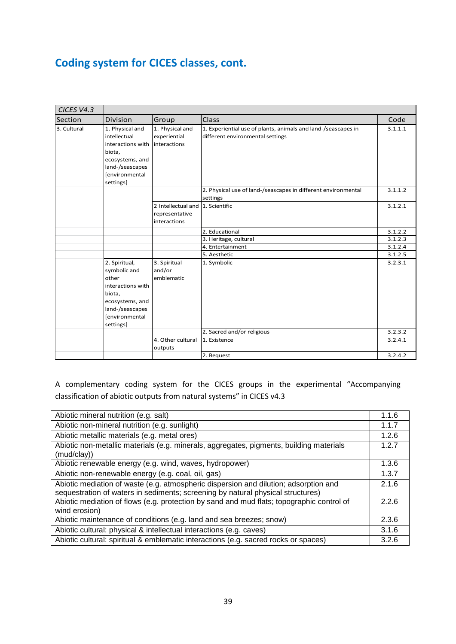## **Coding system for CICES classes, cont.**

| CICES V4.3  |                                                                                                                                            |                                                                    |                                                                                                   |                    |
|-------------|--------------------------------------------------------------------------------------------------------------------------------------------|--------------------------------------------------------------------|---------------------------------------------------------------------------------------------------|--------------------|
| Section     | Division                                                                                                                                   | Group                                                              | Class                                                                                             | Code               |
| 3. Cultural | 1. Physical and<br>intellectual<br>interactions with<br>biota,<br>ecosystems, and<br>land-/seascapes<br>[environmental<br>settings]        | 1. Physical and<br>experiential<br>interactions                    | 1. Experiential use of plants, animals and land-/seascapes in<br>different environmental settings | 3.1.1.1            |
|             |                                                                                                                                            |                                                                    | 2. Physical use of land-/seascapes in different environmental<br>settings                         | 3.1.1.2            |
|             |                                                                                                                                            | 2 Intellectual and 1. Scientific<br>representative<br>interactions |                                                                                                   | 3.1.2.1            |
|             |                                                                                                                                            |                                                                    | 2. Educational                                                                                    | 3.1.2.2            |
|             |                                                                                                                                            |                                                                    | 3. Heritage, cultural                                                                             | 3.1.2.3            |
|             |                                                                                                                                            |                                                                    | 4. Entertainment                                                                                  | 3.1.2.4            |
|             |                                                                                                                                            |                                                                    | 5. Aesthetic                                                                                      | 3.1.2.5            |
|             | 2. Spiritual,<br>symbolic and<br>other<br>interactions with<br>biota,<br>ecosystems, and<br>land-/seascapes<br>[environmental<br>settings] | 3. Spiritual<br>and/or<br>emblematic                               | 1. Symbolic<br>2. Sacred and/or religious                                                         | 3.2.3.1<br>3.2.3.2 |
|             |                                                                                                                                            | 4. Other cultural                                                  | 1. Existence                                                                                      | 3.2.4.1            |
|             |                                                                                                                                            | outputs                                                            |                                                                                                   |                    |
|             |                                                                                                                                            |                                                                    | 2. Bequest                                                                                        | 3.2.4.2            |

A complementary coding system for the CICES groups in the experimental "Accompanying classification of abiotic outputs from natural systems" in CICES v4.3

| Abiotic mineral nutrition (e.g. salt)                                                                                                                                   | 1.1.6 |
|-------------------------------------------------------------------------------------------------------------------------------------------------------------------------|-------|
| Abiotic non-mineral nutrition (e.g. sunlight)                                                                                                                           | 1.1.7 |
| Abiotic metallic materials (e.g. metal ores)                                                                                                                            | 1.2.6 |
| Abiotic non-metallic materials (e.g. minerals, aggregates, pigments, building materials                                                                                 | 1.2.7 |
| (mud/clay))                                                                                                                                                             |       |
| Abiotic renewable energy (e.g. wind, waves, hydropower)                                                                                                                 | 1.3.6 |
| Abiotic non-renewable energy (e.g. coal, oil, gas)                                                                                                                      | 1.3.7 |
| Abiotic mediation of waste (e.g. atmospheric dispersion and dilution; adsorption and<br>sequestration of waters in sediments; screening by natural physical structures) | 2.1.6 |
| Abiotic mediation of flows (e.g. protection by sand and mud flats; topographic control of                                                                               | 2.2.6 |
| wind erosion)                                                                                                                                                           |       |
| Abiotic maintenance of conditions (e.g. land and sea breezes; snow)                                                                                                     | 2.3.6 |
| Abiotic cultural: physical & intellectual interactions (e.g. caves)                                                                                                     | 3.1.6 |
| Abiotic cultural: spiritual & emblematic interactions (e.g. sacred rocks or spaces)                                                                                     | 3.2.6 |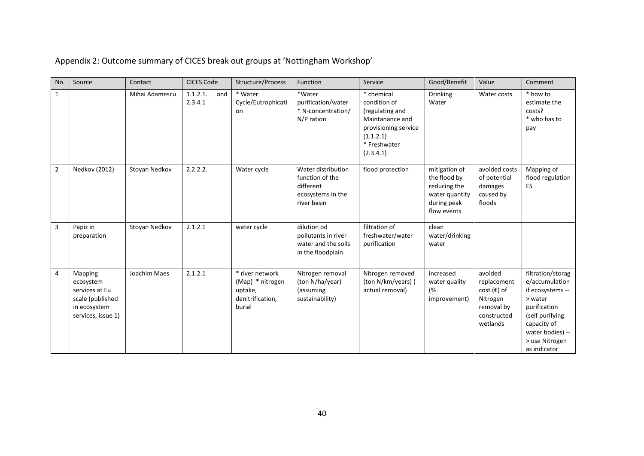| No.            | Source                                                                                           | Contact        | <b>CICES Code</b>          | Structure/Process                                                            | Function                                                                               | Service                                                                                                                            | Good/Benefit                                                                                  | Value                                                                                        | Comment                                                                                                                                                                    |
|----------------|--------------------------------------------------------------------------------------------------|----------------|----------------------------|------------------------------------------------------------------------------|----------------------------------------------------------------------------------------|------------------------------------------------------------------------------------------------------------------------------------|-----------------------------------------------------------------------------------------------|----------------------------------------------------------------------------------------------|----------------------------------------------------------------------------------------------------------------------------------------------------------------------------|
| $\mathbf{1}$   |                                                                                                  | Mihai Adamescu | 1.1.2.1.<br>and<br>2.3.4.1 | * Water<br>Cycle/Eutrophicati<br>on                                          | *Water<br>purification/water<br>* N-concentration/<br>N/P ration                       | * chemical<br>condition of<br>(regulating and<br>Maintanance and<br>provisioning service<br>(1.1.2.1)<br>* Freshwater<br>(2.3.4.1) | <b>Drinking</b><br>Water                                                                      | Water costs                                                                                  | * how to<br>estimate the<br>costs?<br>* who has to<br>pay                                                                                                                  |
| $\overline{2}$ | Nedkov (2012)                                                                                    | Stoyan Nedkov  | 2.2.2.2.                   | Water cycle                                                                  | Water distribution<br>function of the<br>different<br>ecosystems in the<br>river basin | flood protection                                                                                                                   | mitigation of<br>the flood by<br>reducing the<br>water quantity<br>during peak<br>flow events | avoided costs<br>of potential<br>damages<br>caused by<br>floods                              | Mapping of<br>flood regulation<br>ES                                                                                                                                       |
| 3              | Papiz in<br>preparation                                                                          | Stoyan Nedkov  | 2.1.2.1                    | water cycle                                                                  | dilution od<br>pollutants in river<br>water and the soils<br>in the floodplain         | filtration of<br>freshwater/water<br>purification                                                                                  | clean<br>water/drinking<br>water                                                              |                                                                                              |                                                                                                                                                                            |
| 4              | Mapping<br>ecosystem<br>services at Eu<br>scale (published<br>in ecosystem<br>services, issue 1) | Joachim Maes   | 2.1.2.1                    | * river network<br>(Map) * nitrogen<br>uptake,<br>denitrification,<br>burial | Nitrogen removal<br>(ton N/ha/year)<br>(assuming<br>sustainability)                    | Nitrogen removed<br>(ton N/km/years) (<br>actual removal)                                                                          | increased<br>water quality<br>(%<br>improvement)                                              | avoided<br>replacement<br>$cost$ (€) of<br>Nitrogen<br>removal by<br>constructed<br>wetlands | filtration/storag<br>e/accumulation<br>if ecosystems --<br>> water<br>purification<br>(self purifying<br>capacity of<br>water bodies) --<br>> use Nitrogen<br>as indicator |

Appendix 2: Outcome summary of CICES break out groups at 'Nottingham Workshop'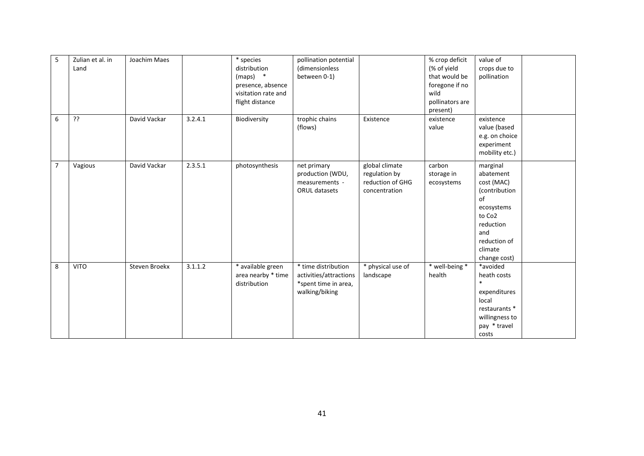| 5              | Zulian et al. in<br>Land | Joachim Maes  |         | * species<br>distribution<br>$(maps)$ *<br>presence, absence<br>visitation rate and<br>flight distance | pollination potential<br>(dimensionless<br>between 0-1)                                 |                                                                      | % crop deficit<br>(% of yield<br>that would be<br>foregone if no<br>wild<br>pollinators are<br>present) | value of<br>crops due to<br>pollination                                                                                                                       |  |
|----------------|--------------------------|---------------|---------|--------------------------------------------------------------------------------------------------------|-----------------------------------------------------------------------------------------|----------------------------------------------------------------------|---------------------------------------------------------------------------------------------------------|---------------------------------------------------------------------------------------------------------------------------------------------------------------|--|
| 6              | ??                       | David Vackar  | 3.2.4.1 | Biodiversity                                                                                           | trophic chains<br>(flows)                                                               | Existence                                                            | existence<br>value                                                                                      | existence<br>value (based<br>e.g. on choice<br>experiment<br>mobility etc.)                                                                                   |  |
| $\overline{7}$ | Vagious                  | David Vackar  | 2.3.5.1 | photosynthesis                                                                                         | net primary<br>production (WDU,<br>measurements -<br>ORUL datasets                      | global climate<br>regulation by<br>reduction of GHG<br>concentration | carbon<br>storage in<br>ecosystems                                                                      | marginal<br>abatement<br>cost (MAC)<br>(contribution<br>of<br>ecosystems<br>to Co <sub>2</sub><br>reduction<br>and<br>reduction of<br>climate<br>change cost) |  |
| 8              | <b>VITO</b>              | Steven Broekx | 3.1.1.2 | * available green<br>area nearby * time<br>distribution                                                | * time distribution<br>activities/attractions<br>*spent time in area,<br>walking/biking | * physical use of<br>landscape                                       | * well-being *<br>health                                                                                | *avoided<br>heath costs<br>$\ast$<br>expenditures<br>local<br>restaurants *<br>willingness to<br>pay * travel<br>costs                                        |  |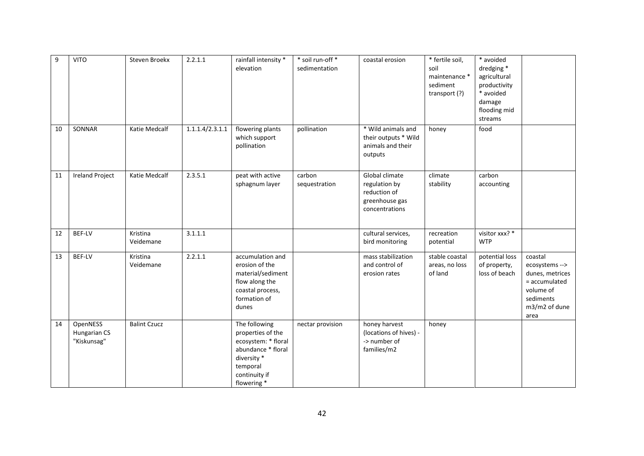| 9  | <b>VITO</b>                             | Steven Broekx         | 2.2.1.1         | rainfall intensity *<br>elevation                                                                                                          | * soil run-off *<br>sedimentation | coastal erosion                                                                     | * fertile soil,<br>soil<br>maintenance *<br>sediment<br>transport (?) | * avoided<br>dredging *<br>agricultural<br>productivity<br>* avoided<br>damage<br>flooding mid<br>streams |                                                                                                                  |
|----|-----------------------------------------|-----------------------|-----------------|--------------------------------------------------------------------------------------------------------------------------------------------|-----------------------------------|-------------------------------------------------------------------------------------|-----------------------------------------------------------------------|-----------------------------------------------------------------------------------------------------------|------------------------------------------------------------------------------------------------------------------|
| 10 | SONNAR                                  | Katie Medcalf         | 1.1.1.4/2.3.1.1 | flowering plants<br>which support<br>pollination                                                                                           | pollination                       | * Wild animals and<br>their outputs * Wild<br>animals and their<br>outputs          | honey                                                                 | food                                                                                                      |                                                                                                                  |
| 11 | <b>Ireland Project</b>                  | Katie Medcalf         | 2.3.5.1         | peat with active<br>sphagnum layer                                                                                                         | carbon<br>sequestration           | Global climate<br>regulation by<br>reduction of<br>greenhouse gas<br>concentrations | climate<br>stability                                                  | carbon<br>accounting                                                                                      |                                                                                                                  |
| 12 | <b>BEF-LV</b>                           | Kristina<br>Veidemane | 3.1.1.1         |                                                                                                                                            |                                   | cultural services,<br>bird monitoring                                               | recreation<br>potential                                               | visitor xxx? *<br><b>WTP</b>                                                                              |                                                                                                                  |
| 13 | BEF-LV                                  | Kristina<br>Veidemane | 2.2.1.1         | accumulation and<br>erosion of the<br>material/sediment<br>flow along the<br>coastal process,<br>formation of<br>dunes                     |                                   | mass stabilization<br>and control of<br>erosion rates                               | stable coastal<br>areas, no loss<br>of land                           | potential loss<br>of property,<br>loss of beach                                                           | coastal<br>ecosystems --><br>dunes, metrices<br>= accumulated<br>volume of<br>sediments<br>m3/m2 of dune<br>area |
| 14 | OpenNESS<br>Hungarian CS<br>"Kiskunsag" | <b>Balint Czucz</b>   |                 | The following<br>properties of the<br>ecosystem: * floral<br>abundance * floral<br>diversity *<br>temporal<br>continuity if<br>flowering * | nectar provision                  | honey harvest<br>(locations of hives) -<br>-> number of<br>families/m2              | honey                                                                 |                                                                                                           |                                                                                                                  |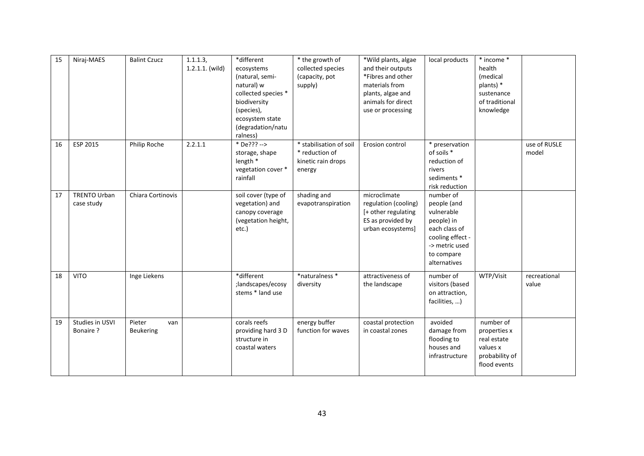| 15 | Niraj-MAES                        | <b>Balint Czucz</b>               | 1.1.1.3,<br>$1.2.1.1.$ (wild) | *different<br>ecosystems<br>(natural, semi-<br>natural) w<br>collected species *<br>biodiversity<br>(species),<br>ecosystem state<br>(degradation/natu<br>ralness) | * the growth of<br>collected species<br>(capacity, pot<br>supply)         | *Wild plants, algae<br>and their outputs<br>*Fibres and other<br>materials from<br>plants, algae and<br>animals for direct<br>use or processing | local products                                                                                                                            | * income *<br>health<br>(medical<br>plants) *<br>sustenance<br>of traditional<br>knowledge |                       |
|----|-----------------------------------|-----------------------------------|-------------------------------|--------------------------------------------------------------------------------------------------------------------------------------------------------------------|---------------------------------------------------------------------------|-------------------------------------------------------------------------------------------------------------------------------------------------|-------------------------------------------------------------------------------------------------------------------------------------------|--------------------------------------------------------------------------------------------|-----------------------|
| 16 | ESP 2015                          | Philip Roche                      | 2.2.1.1                       | * De??? --><br>storage, shape<br>length *<br>vegetation cover *<br>rainfall                                                                                        | * stabilisation of soil<br>* reduction of<br>kinetic rain drops<br>energy | Erosion control                                                                                                                                 | * preservation<br>of soils *<br>reduction of<br>rivers<br>sediments *<br>risk reduction                                                   |                                                                                            | use of RUSLE<br>model |
| 17 | <b>TRENTO Urban</b><br>case study | Chiara Cortinovis                 |                               | soil cover (type of<br>vegetation) and<br>canopy coverage<br>(vegetation height,<br>etc.)                                                                          | shading and<br>evapotranspiration                                         | microclimate<br>regulation (cooling)<br>[+ other regulating<br>ES as provided by<br>urban ecosystems]                                           | number of<br>people (and<br>vulnerable<br>people) in<br>each class of<br>cooling effect -<br>-> metric used<br>to compare<br>alternatives |                                                                                            |                       |
| 18 | <b>VITO</b>                       | Inge Liekens                      |                               | *different<br>;landscapes/ecosy<br>stems * land use                                                                                                                | *naturalness *<br>diversity                                               | attractiveness of<br>the landscape                                                                                                              | number of<br>visitors (based<br>on attraction,<br>facilities, )                                                                           | WTP/Visit                                                                                  | recreational<br>value |
| 19 | Studies in USVI<br>Bonaire ?      | Pieter<br>van<br><b>Beukering</b> |                               | corals reefs<br>providing hard 3 D<br>structure in<br>coastal waters                                                                                               | energy buffer<br>function for waves                                       | coastal protection<br>in coastal zones                                                                                                          | avoided<br>damage from<br>flooding to<br>houses and<br>infrastructure                                                                     | number of<br>properties x<br>real estate<br>values x<br>probability of<br>flood events     |                       |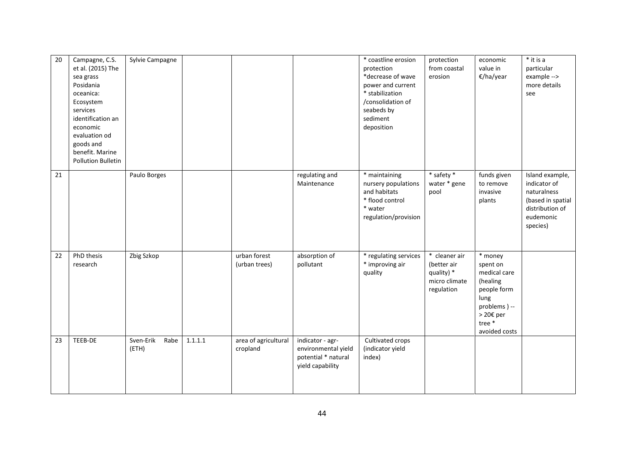| 20 | Campagne, C.S.<br>et al. (2015) The<br>sea grass<br>Posidania<br>oceanica:<br>Ecosystem<br>services<br>identification an<br>economic<br>evaluation od<br>goods and<br>benefit. Marine<br>Pollution Bulletin | Sylvie Campagne            |         |                                  |                                                                                    | * coastline erosion<br>protection<br>*decrease of wave<br>power and current<br>* stabilization<br>/consolidation of<br>seabeds by<br>sediment<br>deposition | protection<br>from coastal<br>erosion                                     | economic<br>value in<br>€/ha/year                                                                                             | $*$ it is a<br>particular<br>example --><br>more details<br>see                                                 |
|----|-------------------------------------------------------------------------------------------------------------------------------------------------------------------------------------------------------------|----------------------------|---------|----------------------------------|------------------------------------------------------------------------------------|-------------------------------------------------------------------------------------------------------------------------------------------------------------|---------------------------------------------------------------------------|-------------------------------------------------------------------------------------------------------------------------------|-----------------------------------------------------------------------------------------------------------------|
| 21 |                                                                                                                                                                                                             | Paulo Borges               |         |                                  | regulating and<br>Maintenance                                                      | * maintaining<br>nursery populations<br>and habitats<br>* flood control<br>* water<br>regulation/provision                                                  | * safety *<br>water * gene<br>pool                                        | funds given<br>to remove<br>invasive<br>plants                                                                                | Island example,<br>indicator of<br>naturalness<br>(based in spatial<br>distribution of<br>eudemonic<br>species) |
| 22 | PhD thesis<br>research                                                                                                                                                                                      | Zbig Szkop                 |         | urban forest<br>(urban trees)    | absorption of<br>pollutant                                                         | * regulating services<br>* improving air<br>quality                                                                                                         | * cleaner air<br>(better air<br>quality) *<br>micro climate<br>regulation | * money<br>spent on<br>medical care<br>(healing<br>people form<br>lung<br>problems) --<br>> 20€ per<br>tree*<br>avoided costs |                                                                                                                 |
| 23 | TEEB-DE                                                                                                                                                                                                     | Sven-Erik<br>Rabe<br>(ETH) | 1.1.1.1 | area of agricultural<br>cropland | indicator - agr-<br>environmental yield<br>potential * natural<br>yield capability | Cultivated crops<br>(indicator yield<br>index)                                                                                                              |                                                                           |                                                                                                                               |                                                                                                                 |